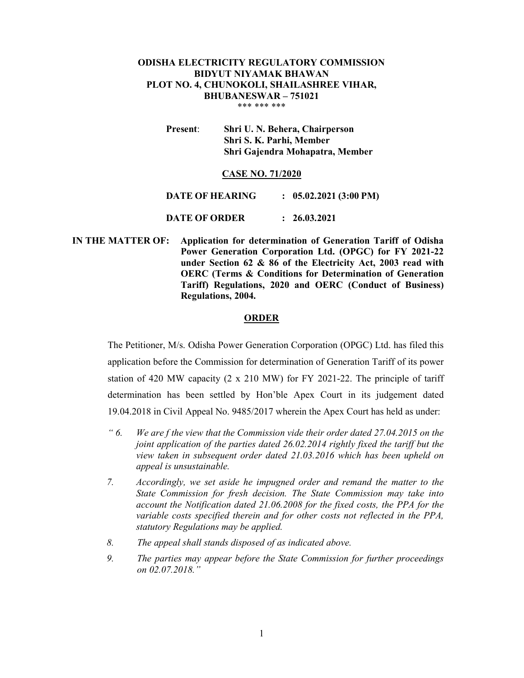# ODISHA ELECTRICITY REGULATORY COMMISSION BIDYUT NIYAMAK BHAWAN PLOT NO. 4, CHUNOKOLI, SHAILASHREE VIHAR, BHUBANESWAR – 751021 \*\*\* \*\*\* \*\*\*

Present: Shri U. N. Behera, Chairperson Shri S. K. Parhi, Member Shri Gajendra Mohapatra, Member

### CASE NO. 71/2020

DATE OF HEARING : 05.02.2021 (3:00 PM)

DATE OF ORDER : 26.03.2021

 IN THE MATTER OF: Application for determination of Generation Tariff of Odisha Power Generation Corporation Ltd. (OPGC) for FY 2021-22 under Section 62 & 86 of the Electricity Act, 2003 read with OERC (Terms & Conditions for Determination of Generation Tariff) Regulations, 2020 and OERC (Conduct of Business) Regulations, 2004.

#### ORDER

The Petitioner, M/s. Odisha Power Generation Corporation (OPGC) Ltd. has filed this application before the Commission for determination of Generation Tariff of its power station of 420 MW capacity  $(2 \times 210)$  MW) for FY 2021-22. The principle of tariff determination has been settled by Hon'ble Apex Court in its judgement dated 19.04.2018 in Civil Appeal No. 9485/2017 wherein the Apex Court has held as under:

- " 6. We are f the view that the Commission vide their order dated 27.04.2015 on the joint application of the parties dated 26.02.2014 rightly fixed the tariff but the view taken in subsequent order dated 21.03.2016 which has been upheld on appeal is unsustainable.
- 7. Accordingly, we set aside he impugned order and remand the matter to the State Commission for fresh decision. The State Commission may take into account the Notification dated 21.06.2008 for the fixed costs, the PPA for the variable costs specified therein and for other costs not reflected in the PPA, statutory Regulations may be applied.
- 8. The appeal shall stands disposed of as indicated above.
- 9. The parties may appear before the State Commission for further proceedings on 02.07.2018."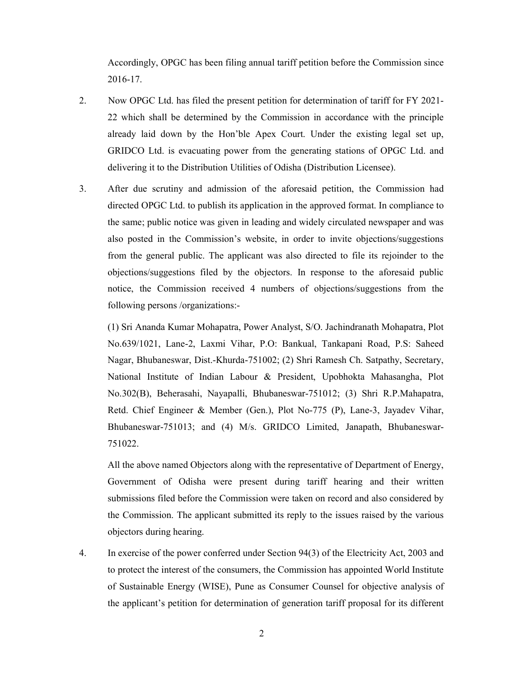Accordingly, OPGC has been filing annual tariff petition before the Commission since 2016-17.

- 2. Now OPGC Ltd. has filed the present petition for determination of tariff for FY 2021- 22 which shall be determined by the Commission in accordance with the principle already laid down by the Hon'ble Apex Court. Under the existing legal set up, GRIDCO Ltd. is evacuating power from the generating stations of OPGC Ltd. and delivering it to the Distribution Utilities of Odisha (Distribution Licensee).
- 3. After due scrutiny and admission of the aforesaid petition, the Commission had directed OPGC Ltd. to publish its application in the approved format. In compliance to the same; public notice was given in leading and widely circulated newspaper and was also posted in the Commission's website, in order to invite objections/suggestions from the general public. The applicant was also directed to file its rejoinder to the objections/suggestions filed by the objectors. In response to the aforesaid public notice, the Commission received 4 numbers of objections/suggestions from the following persons /organizations:-

(1) Sri Ananda Kumar Mohapatra, Power Analyst, S/O. Jachindranath Mohapatra, Plot No.639/1021, Lane-2, Laxmi Vihar, P.O: Bankual, Tankapani Road, P.S: Saheed Nagar, Bhubaneswar, Dist.-Khurda-751002; (2) Shri Ramesh Ch. Satpathy, Secretary, National Institute of Indian Labour & President, Upobhokta Mahasangha, Plot No.302(B), Beherasahi, Nayapalli, Bhubaneswar-751012; (3) Shri R.P.Mahapatra, Retd. Chief Engineer & Member (Gen.), Plot No-775 (P), Lane-3, Jayadev Vihar, Bhubaneswar-751013; and (4) M/s. GRIDCO Limited, Janapath, Bhubaneswar-751022.

All the above named Objectors along with the representative of Department of Energy, Government of Odisha were present during tariff hearing and their written submissions filed before the Commission were taken on record and also considered by the Commission. The applicant submitted its reply to the issues raised by the various objectors during hearing.

4. In exercise of the power conferred under Section 94(3) of the Electricity Act, 2003 and to protect the interest of the consumers, the Commission has appointed World Institute of Sustainable Energy (WISE), Pune as Consumer Counsel for objective analysis of the applicant's petition for determination of generation tariff proposal for its different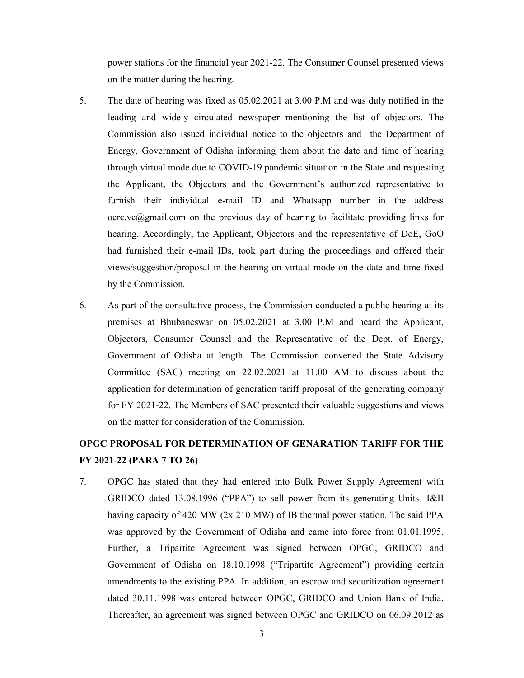power stations for the financial year 2021-22. The Consumer Counsel presented views on the matter during the hearing.

- 5. The date of hearing was fixed as 05.02.2021 at 3.00 P.M and was duly notified in the leading and widely circulated newspaper mentioning the list of objectors. The Commission also issued individual notice to the objectors and the Department of Energy, Government of Odisha informing them about the date and time of hearing through virtual mode due to COVID-19 pandemic situation in the State and requesting the Applicant, the Objectors and the Government's authorized representative to furnish their individual e-mail ID and Whatsapp number in the address  $\text{occ.ve}(\partial \text{gmail.com})$  on the previous day of hearing to facilitate providing links for hearing. Accordingly, the Applicant, Objectors and the representative of DoE, GoO had furnished their e-mail IDs, took part during the proceedings and offered their views/suggestion/proposal in the hearing on virtual mode on the date and time fixed by the Commission.
- 6. As part of the consultative process, the Commission conducted a public hearing at its premises at Bhubaneswar on 05.02.2021 at 3.00 P.M and heard the Applicant, Objectors, Consumer Counsel and the Representative of the Dept. of Energy, Government of Odisha at length. The Commission convened the State Advisory Committee (SAC) meeting on 22.02.2021 at 11.00 AM to discuss about the application for determination of generation tariff proposal of the generating company for FY 2021-22. The Members of SAC presented their valuable suggestions and views on the matter for consideration of the Commission.

# OPGC PROPOSAL FOR DETERMINATION OF GENARATION TARIFF FOR THE FY 2021-22 (PARA 7 TO 26)

7. OPGC has stated that they had entered into Bulk Power Supply Agreement with GRIDCO dated 13.08.1996 ("PPA") to sell power from its generating Units- I&II having capacity of 420 MW (2x 210 MW) of IB thermal power station. The said PPA was approved by the Government of Odisha and came into force from 01.01.1995. Further, a Tripartite Agreement was signed between OPGC, GRIDCO and Government of Odisha on 18.10.1998 ("Tripartite Agreement") providing certain amendments to the existing PPA. In addition, an escrow and securitization agreement dated 30.11.1998 was entered between OPGC, GRIDCO and Union Bank of India. Thereafter, an agreement was signed between OPGC and GRIDCO on 06.09.2012 as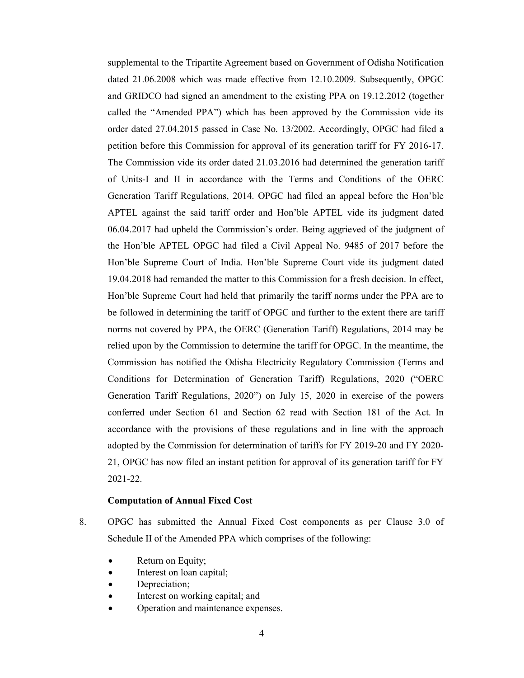supplemental to the Tripartite Agreement based on Government of Odisha Notification dated 21.06.2008 which was made effective from 12.10.2009. Subsequently, OPGC and GRIDCO had signed an amendment to the existing PPA on 19.12.2012 (together called the "Amended PPA") which has been approved by the Commission vide its order dated 27.04.2015 passed in Case No. 13/2002. Accordingly, OPGC had filed a petition before this Commission for approval of its generation tariff for FY 2016-17. The Commission vide its order dated 21.03.2016 had determined the generation tariff of Units-I and II in accordance with the Terms and Conditions of the OERC Generation Tariff Regulations, 2014. OPGC had filed an appeal before the Hon'ble APTEL against the said tariff order and Hon'ble APTEL vide its judgment dated 06.04.2017 had upheld the Commission's order. Being aggrieved of the judgment of the Hon'ble APTEL OPGC had filed a Civil Appeal No. 9485 of 2017 before the Hon'ble Supreme Court of India. Hon'ble Supreme Court vide its judgment dated 19.04.2018 had remanded the matter to this Commission for a fresh decision. In effect, Hon'ble Supreme Court had held that primarily the tariff norms under the PPA are to be followed in determining the tariff of OPGC and further to the extent there are tariff norms not covered by PPA, the OERC (Generation Tariff) Regulations, 2014 may be relied upon by the Commission to determine the tariff for OPGC. In the meantime, the Commission has notified the Odisha Electricity Regulatory Commission (Terms and Conditions for Determination of Generation Tariff) Regulations, 2020 ("OERC Generation Tariff Regulations, 2020") on July 15, 2020 in exercise of the powers conferred under Section 61 and Section 62 read with Section 181 of the Act. In accordance with the provisions of these regulations and in line with the approach adopted by the Commission for determination of tariffs for FY 2019-20 and FY 2020- 21, OPGC has now filed an instant petition for approval of its generation tariff for FY 2021-22.

#### Computation of Annual Fixed Cost

- 8. OPGC has submitted the Annual Fixed Cost components as per Clause 3.0 of Schedule II of the Amended PPA which comprises of the following:
	- Return on Equity;
	- Interest on loan capital;
	- Depreciation;
	- Interest on working capital; and
	- Operation and maintenance expenses.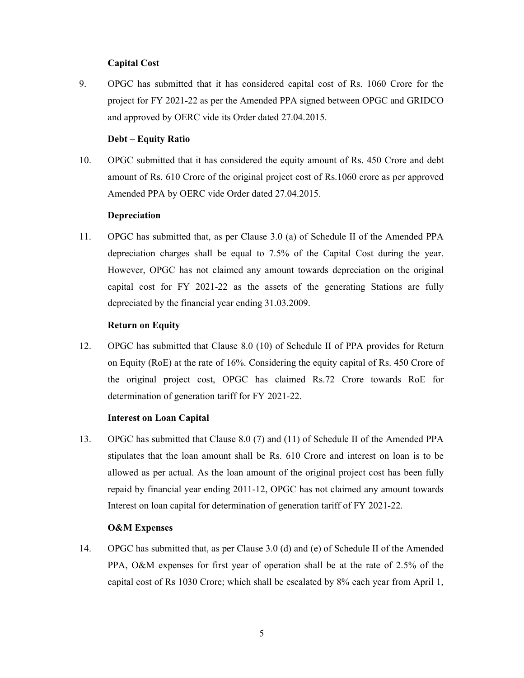# Capital Cost

9. OPGC has submitted that it has considered capital cost of Rs. 1060 Crore for the project for FY 2021-22 as per the Amended PPA signed between OPGC and GRIDCO and approved by OERC vide its Order dated 27.04.2015.

## Debt – Equity Ratio

10. OPGC submitted that it has considered the equity amount of Rs. 450 Crore and debt amount of Rs. 610 Crore of the original project cost of Rs.1060 crore as per approved Amended PPA by OERC vide Order dated 27.04.2015.

### Depreciation

11. OPGC has submitted that, as per Clause 3.0 (a) of Schedule II of the Amended PPA depreciation charges shall be equal to 7.5% of the Capital Cost during the year. However, OPGC has not claimed any amount towards depreciation on the original capital cost for FY 2021-22 as the assets of the generating Stations are fully depreciated by the financial year ending 31.03.2009.

# Return on Equity

12. OPGC has submitted that Clause 8.0 (10) of Schedule II of PPA provides for Return on Equity (RoE) at the rate of 16%. Considering the equity capital of Rs. 450 Crore of the original project cost, OPGC has claimed Rs.72 Crore towards RoE for determination of generation tariff for FY 2021-22.

### Interest on Loan Capital

13. OPGC has submitted that Clause 8.0 (7) and (11) of Schedule II of the Amended PPA stipulates that the loan amount shall be Rs. 610 Crore and interest on loan is to be allowed as per actual. As the loan amount of the original project cost has been fully repaid by financial year ending 2011-12, OPGC has not claimed any amount towards Interest on loan capital for determination of generation tariff of FY 2021-22.

# O&M Expenses

14. OPGC has submitted that, as per Clause 3.0 (d) and (e) of Schedule II of the Amended PPA, O&M expenses for first year of operation shall be at the rate of 2.5% of the capital cost of Rs 1030 Crore; which shall be escalated by 8% each year from April 1,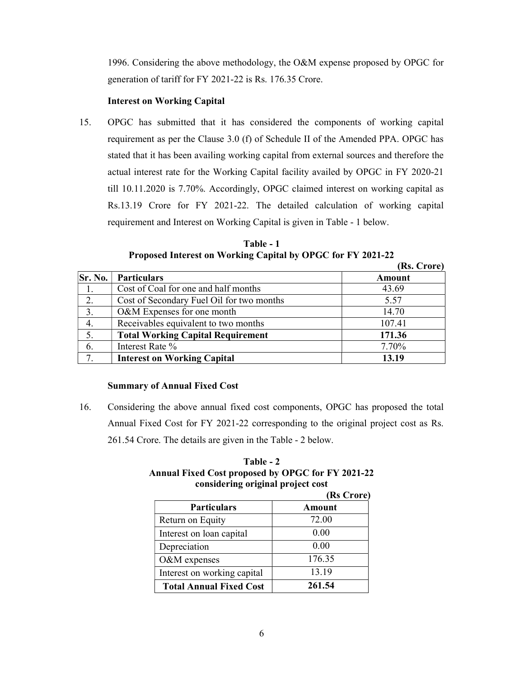1996. Considering the above methodology, the O&M expense proposed by OPGC for generation of tariff for FY 2021-22 is Rs. 176.35 Crore.

# Interest on Working Capital

15. OPGC has submitted that it has considered the components of working capital requirement as per the Clause 3.0 (f) of Schedule II of the Amended PPA. OPGC has stated that it has been availing working capital from external sources and therefore the actual interest rate for the Working Capital facility availed by OPGC in FY 2020-21 till 10.11.2020 is 7.70%. Accordingly, OPGC claimed interest on working capital as Rs.13.19 Crore for FY 2021-22. The detailed calculation of working capital requirement and Interest on Working Capital is given in Table - 1 below.

Table - 1 Proposed Interest on Working Capital by OPGC for FY 2021-22

|              |                                           | (Rs. Crore)   |
|--------------|-------------------------------------------|---------------|
| Sr. No.      | <b>Particulars</b>                        | <b>Amount</b> |
| 1.           | Cost of Coal for one and half months      | 43.69         |
| 2.           | Cost of Secondary Fuel Oil for two months | 5.57          |
| 3.           | O&M Expenses for one month                | 14.70         |
| 4.           | Receivables equivalent to two months      | 107.41        |
| 5.           | <b>Total Working Capital Requirement</b>  | 171.36        |
| 6.           | Interest Rate %                           | 7.70%         |
| $\mathbf{7}$ | <b>Interest on Working Capital</b>        | 13.19         |

# Summary of Annual Fixed Cost

16. Considering the above annual fixed cost components, OPGC has proposed the total Annual Fixed Cost for FY 2021-22 corresponding to the original project cost as Rs. 261.54 Crore. The details are given in the Table - 2 below.

| Table - 2                                                |
|----------------------------------------------------------|
| <b>Annual Fixed Cost proposed by OPGC for FY 2021-22</b> |
| considering original project cost                        |

| (Rs Crore)                     |        |
|--------------------------------|--------|
| <b>Particulars</b>             | Amount |
| Return on Equity               | 72.00  |
| Interest on loan capital       | 0.00   |
| Depreciation                   | 0.00   |
| O&M expenses                   | 176.35 |
| Interest on working capital    | 13.19  |
| <b>Total Annual Fixed Cost</b> | 261.54 |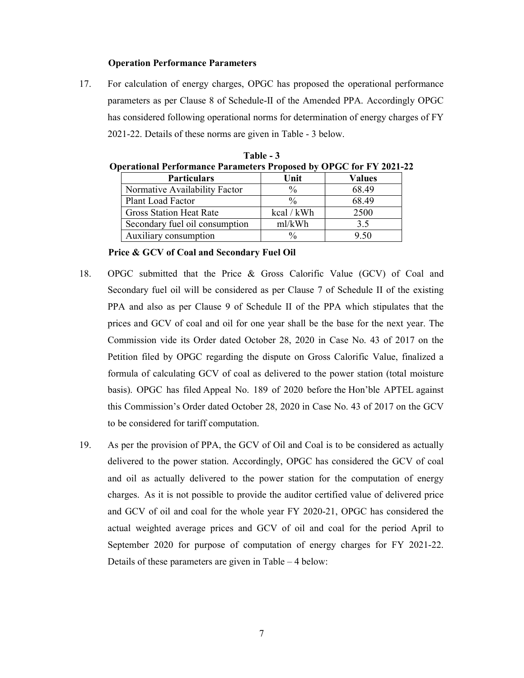#### Operation Performance Parameters

17. For calculation of energy charges, OPGC has proposed the operational performance parameters as per Clause 8 of Schedule-II of the Amended PPA. Accordingly OPGC has considered following operational norms for determination of energy charges of FY 2021-22. Details of these norms are given in Table - 3 below.

| perational performance parameters proposed by OPGC for F Y 2021- |               |        |
|------------------------------------------------------------------|---------------|--------|
| <b>Particulars</b>                                               | Unit          | Values |
| Normative Availability Factor                                    | $\frac{0}{0}$ | 68.49  |
| Plant Load Factor                                                | $\frac{0}{0}$ | 68.49  |
| <b>Gross Station Heat Rate</b>                                   | kcal / kWh    | 2500   |
| Secondary fuel oil consumption                                   | ml/kWh        | 3.5    |
| Auxiliary consumption                                            | $\frac{0}{0}$ | 9.50   |

Table - 3 Operational Performance Parameters Proposed by OPGC for FY 2021-22

Price & GCV of Coal and Secondary Fuel Oil

- 18. OPGC submitted that the Price & Gross Calorific Value (GCV) of Coal and Secondary fuel oil will be considered as per Clause 7 of Schedule II of the existing PPA and also as per Clause 9 of Schedule II of the PPA which stipulates that the prices and GCV of coal and oil for one year shall be the base for the next year. The Commission vide its Order dated October 28, 2020 in Case No. 43 of 2017 on the Petition filed by OPGC regarding the dispute on Gross Calorific Value, finalized a formula of calculating GCV of coal as delivered to the power station (total moisture basis). OPGC has filed Appeal No. 189 of 2020 before the Hon'ble APTEL against this Commission's Order dated October 28, 2020 in Case No. 43 of 2017 on the GCV to be considered for tariff computation.
- 19. As per the provision of PPA, the GCV of Oil and Coal is to be considered as actually delivered to the power station. Accordingly, OPGC has considered the GCV of coal and oil as actually delivered to the power station for the computation of energy charges. As it is not possible to provide the auditor certified value of delivered price and GCV of oil and coal for the whole year FY 2020-21, OPGC has considered the actual weighted average prices and GCV of oil and coal for the period April to September 2020 for purpose of computation of energy charges for FY 2021-22. Details of these parameters are given in Table – 4 below: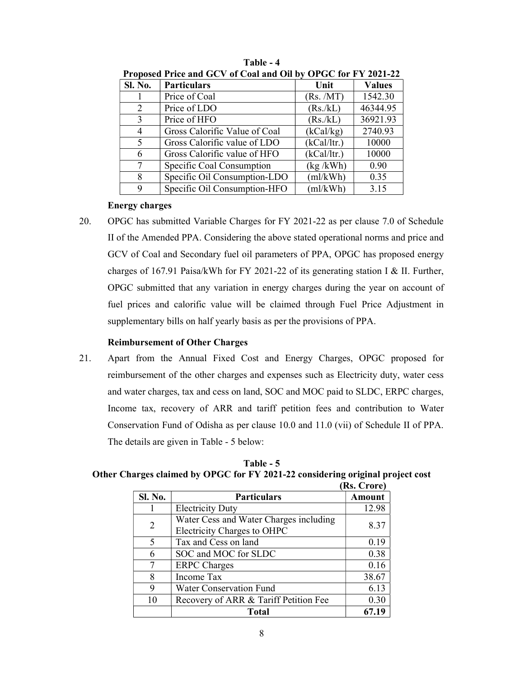| Troposta Tritt and OC v of Coal and On by OF OC for FT 2021-22 |                               |             |               |
|----------------------------------------------------------------|-------------------------------|-------------|---------------|
| <b>Sl. No.</b>                                                 | <b>Particulars</b>            | Unit        | <b>Values</b> |
|                                                                | Price of Coal                 | (Rs. /MT)   | 1542.30       |
| 2                                                              | Price of LDO                  | (Rs./kL)    | 46344.95      |
| 3                                                              | Price of HFO                  | (Rs./kL)    | 36921.93      |
| 4                                                              | Gross Calorific Value of Coal | (kCal/kg)   | 2740.93       |
| 5                                                              | Gross Calorific value of LDO  | (kCal/ltr.) | 10000         |
| 6                                                              | Gross Calorific value of HFO  | (kCal/ltr.) | 10000         |
| 7                                                              | Specific Coal Consumption     | (kg/kWh)    | 0.90          |
| 8                                                              | Specific Oil Consumption-LDO  | (ml/kWh)    | 0.35          |
| 9                                                              | Specific Oil Consumption-HFO  | (ml/kWh)    | 3.15          |

Table - 4 Proposed Price and GCV of Coal and Oil by OPGC for FV 2021-22

# Energy charges

20. OPGC has submitted Variable Charges for FY 2021-22 as per clause 7.0 of Schedule II of the Amended PPA. Considering the above stated operational norms and price and GCV of Coal and Secondary fuel oil parameters of PPA, OPGC has proposed energy charges of 167.91 Paisa/kWh for FY 2021-22 of its generating station I & II. Further, OPGC submitted that any variation in energy charges during the year on account of fuel prices and calorific value will be claimed through Fuel Price Adjustment in supplementary bills on half yearly basis as per the provisions of PPA.

# Reimbursement of Other Charges

21. Apart from the Annual Fixed Cost and Energy Charges, OPGC proposed for reimbursement of the other charges and expenses such as Electricity duty, water cess and water charges, tax and cess on land, SOC and MOC paid to SLDC, ERPC charges, Income tax, recovery of ARR and tariff petition fees and contribution to Water Conservation Fund of Odisha as per clause 10.0 and 11.0 (vii) of Schedule II of PPA. The details are given in Table - 5 below:

Table - 5 Other Charges claimed by OPGC for FY 2021-22 considering original project cost

|                |                                                                       | (Rs. Crore) |
|----------------|-----------------------------------------------------------------------|-------------|
| Sl. No.        | <b>Particulars</b>                                                    | Amount      |
|                | <b>Electricity Duty</b>                                               | 12.98       |
| $\overline{2}$ | Water Cess and Water Charges including<br>Electricity Charges to OHPC | 8.37        |
| 5              | Tax and Cess on land                                                  | 0.19        |
| 6              | SOC and MOC for SLDC                                                  | 0.38        |
| 7              | <b>ERPC</b> Charges                                                   | 0.16        |
| 8              | Income Tax                                                            | 38.67       |
| 9              | <b>Water Conservation Fund</b>                                        | 6.13        |
| 10             | Recovery of ARR & Tariff Petition Fee                                 | 0.30        |
|                | Total                                                                 |             |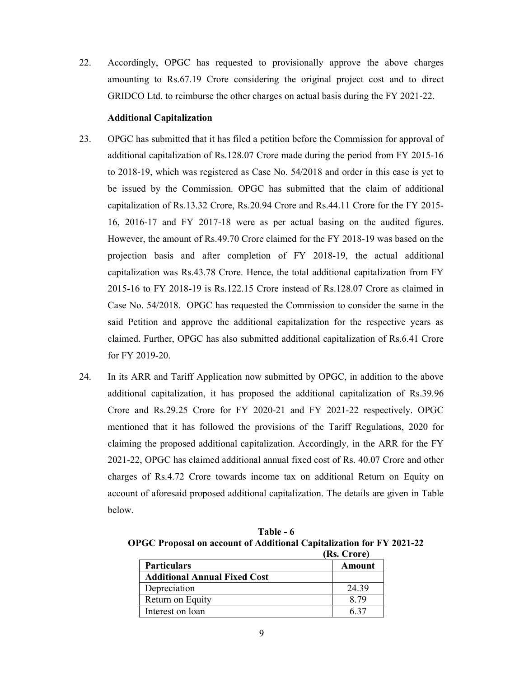22. Accordingly, OPGC has requested to provisionally approve the above charges amounting to Rs.67.19 Crore considering the original project cost and to direct GRIDCO Ltd. to reimburse the other charges on actual basis during the FY 2021-22.

# Additional Capitalization

- 23. OPGC has submitted that it has filed a petition before the Commission for approval of additional capitalization of Rs.128.07 Crore made during the period from FY 2015-16 to 2018-19, which was registered as Case No. 54/2018 and order in this case is yet to be issued by the Commission. OPGC has submitted that the claim of additional capitalization of Rs.13.32 Crore, Rs.20.94 Crore and Rs.44.11 Crore for the FY 2015- 16, 2016-17 and FY 2017-18 were as per actual basing on the audited figures. However, the amount of Rs.49.70 Crore claimed for the FY 2018-19 was based on the projection basis and after completion of FY 2018-19, the actual additional capitalization was Rs.43.78 Crore. Hence, the total additional capitalization from FY 2015-16 to FY 2018-19 is Rs.122.15 Crore instead of Rs.128.07 Crore as claimed in Case No. 54/2018. OPGC has requested the Commission to consider the same in the said Petition and approve the additional capitalization for the respective years as claimed. Further, OPGC has also submitted additional capitalization of Rs.6.41 Crore for FY 2019-20.
- 24. In its ARR and Tariff Application now submitted by OPGC, in addition to the above additional capitalization, it has proposed the additional capitalization of Rs.39.96 Crore and Rs.29.25 Crore for FY 2020-21 and FY 2021-22 respectively. OPGC mentioned that it has followed the provisions of the Tariff Regulations, 2020 for claiming the proposed additional capitalization. Accordingly, in the ARR for the FY 2021-22, OPGC has claimed additional annual fixed cost of Rs. 40.07 Crore and other charges of Rs.4.72 Crore towards income tax on additional Return on Equity on account of aforesaid proposed additional capitalization. The details are given in Table below.

Table - 6 OPGC Proposal on account of Additional Capitalization for FY 2021-22 (Rs. Crore)

|                                     | [IM.UIULU |
|-------------------------------------|-----------|
| <b>Particulars</b>                  | Amount    |
| <b>Additional Annual Fixed Cost</b> |           |
| Depreciation                        | 24.39     |
| Return on Equity                    | 8.79      |
| Interest on loan                    |           |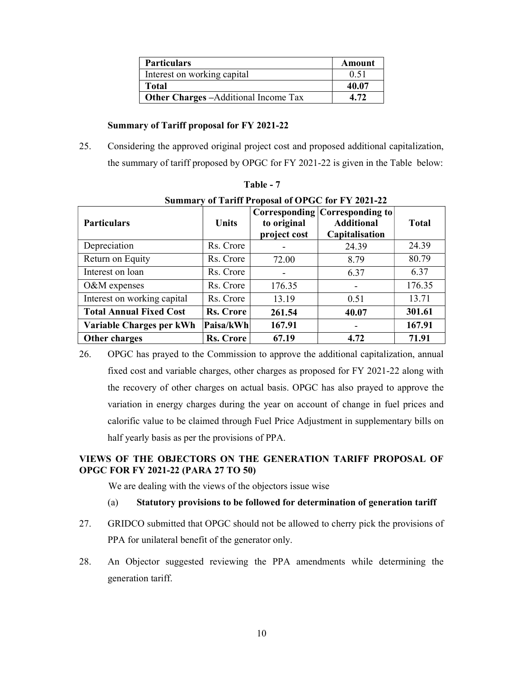| <b>Particulars</b>                          | Amount |
|---------------------------------------------|--------|
| Interest on working capital                 | 0.51   |
| Total                                       | 40.07  |
| <b>Other Charges -Additional Income Tax</b> | 4.72   |

# Summary of Tariff proposal for FY 2021-22

25. Considering the approved original project cost and proposed additional capitalization, the summary of tariff proposed by OPGC for FY 2021-22 is given in the Table below:

| <b>Summary of Tariff Proposal of OPGC for FY 2021-22</b> |                  |                             |                                                                       |              |
|----------------------------------------------------------|------------------|-----------------------------|-----------------------------------------------------------------------|--------------|
| <b>Particulars</b>                                       | <b>Units</b>     | to original<br>project cost | Corresponding Corresponding to<br><b>Additional</b><br>Capitalisation | <b>Total</b> |
| Depreciation                                             | Rs. Crore        |                             | 24.39                                                                 | 24.39        |
| Return on Equity                                         | Rs. Crore        | 72.00                       | 8.79                                                                  | 80.79        |
| Interest on loan                                         | Rs. Crore        |                             | 6.37                                                                  | 6.37         |
| O&M expenses                                             | Rs. Crore        | 176.35                      |                                                                       | 176.35       |
| Interest on working capital                              | Rs. Crore        | 13.19                       | 0.51                                                                  | 13.71        |
| <b>Total Annual Fixed Cost</b>                           | <b>Rs. Crore</b> | 261.54                      | 40.07                                                                 | 301.61       |
| Variable Charges per kWh                                 | Paisa/kWh        | 167.91                      |                                                                       | 167.91       |
| Other charges                                            | <b>Rs. Crore</b> | 67.19                       | 4.72                                                                  | 71.91        |

Table - 7

26. OPGC has prayed to the Commission to approve the additional capitalization, annual fixed cost and variable charges, other charges as proposed for FY 2021-22 along with the recovery of other charges on actual basis. OPGC has also prayed to approve the variation in energy charges during the year on account of change in fuel prices and calorific value to be claimed through Fuel Price Adjustment in supplementary bills on half yearly basis as per the provisions of PPA.

# VIEWS OF THE OBJECTORS ON THE GENERATION TARIFF PROPOSAL OF OPGC FOR FY 2021-22 (PARA 27 TO 50)

We are dealing with the views of the objectors issue wise

- (a) Statutory provisions to be followed for determination of generation tariff
- 27. GRIDCO submitted that OPGC should not be allowed to cherry pick the provisions of PPA for unilateral benefit of the generator only.
- 28. An Objector suggested reviewing the PPA amendments while determining the generation tariff.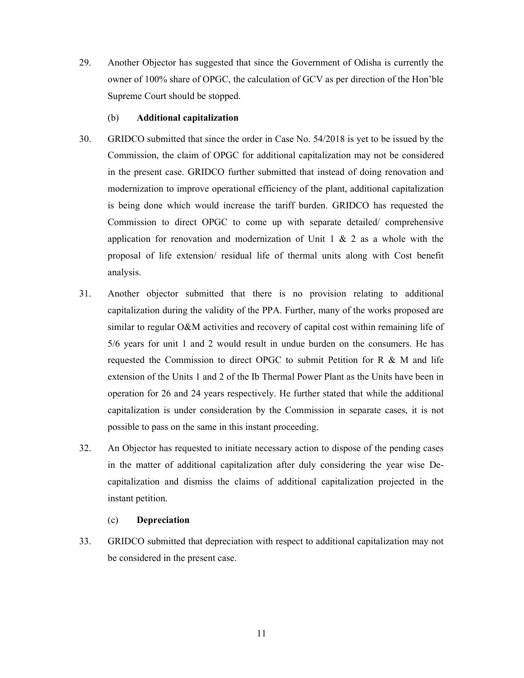29. Another Objector has suggested that since the Government of Odisha is currently the owner of 100% share of OPGC, the calculation of GCV as per direction of the Hon'ble Supreme Court should be stopped.

### (b) Additional capitalization

- 30. GRIDCO submitted that since the order in Case No. 54/2018 is yet to be issued by the Commission, the claim of OPGC for additional capitalization may not be considered in the present case. GRIDCO further submitted that instead of doing renovation and modernization to improve operational efficiency of the plant, additional capitalization is being done which would increase the tariff burden. GRIDCO has requested the Commission to direct OPGC to come up with separate detailed/ comprehensive application for renovation and modernization of Unit  $1 \& 2$  as a whole with the proposal of life extension/ residual life of thermal units along with Cost benefit analysis.
- 31. Another objector submitted that there is no provision relating to additional capitalization during the validity of the PPA. Further, many of the works proposed are similar to regular O&M activities and recovery of capital cost within remaining life of 5/6 years for unit 1 and 2 would result in undue burden on the consumers. He has requested the Commission to direct OPGC to submit Petition for R  $\&$  M and life extension of the Units 1 and 2 of the Ib Thermal Power Plant as the Units have been in operation for 26 and 24 years respectively. He further stated that while the additional capitalization is under consideration by the Commission in separate cases, it is not possible to pass on the same in this instant proceeding.
- 32. An Objector has requested to initiate necessary action to dispose of the pending cases in the matter of additional capitalization after duly considering the year wise Decapitalization and dismiss the claims of additional capitalization projected in the instant petition.

# (c) Depreciation

33. GRIDCO submitted that depreciation with respect to additional capitalization may not be considered in the present case.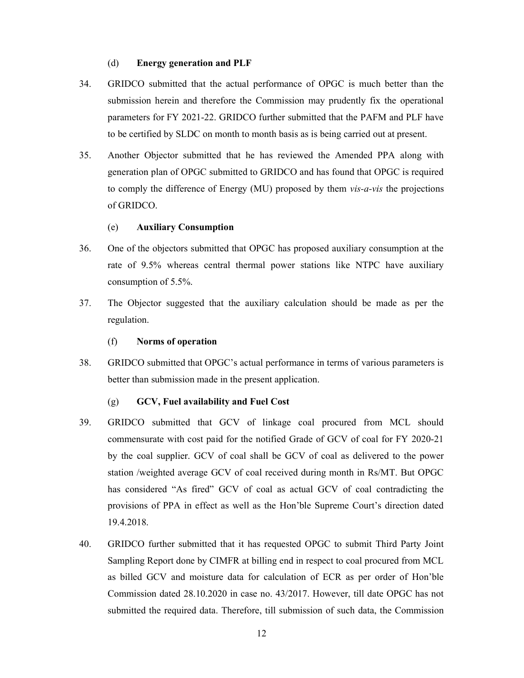#### (d) Energy generation and PLF

- 34. GRIDCO submitted that the actual performance of OPGC is much better than the submission herein and therefore the Commission may prudently fix the operational parameters for FY 2021-22. GRIDCO further submitted that the PAFM and PLF have to be certified by SLDC on month to month basis as is being carried out at present.
- 35. Another Objector submitted that he has reviewed the Amended PPA along with generation plan of OPGC submitted to GRIDCO and has found that OPGC is required to comply the difference of Energy (MU) proposed by them  $vis-a-vis$  the projections of GRIDCO.

#### (e) Auxiliary Consumption

- 36. One of the objectors submitted that OPGC has proposed auxiliary consumption at the rate of 9.5% whereas central thermal power stations like NTPC have auxiliary consumption of 5.5%.
- 37. The Objector suggested that the auxiliary calculation should be made as per the regulation.

#### (f) Norms of operation

38. GRIDCO submitted that OPGC's actual performance in terms of various parameters is better than submission made in the present application.

#### (g) GCV, Fuel availability and Fuel Cost

- 39. GRIDCO submitted that GCV of linkage coal procured from MCL should commensurate with cost paid for the notified Grade of GCV of coal for FY 2020-21 by the coal supplier. GCV of coal shall be GCV of coal as delivered to the power station /weighted average GCV of coal received during month in Rs/MT. But OPGC has considered "As fired" GCV of coal as actual GCV of coal contradicting the provisions of PPA in effect as well as the Hon'ble Supreme Court's direction dated 19.4.2018.
- 40. GRIDCO further submitted that it has requested OPGC to submit Third Party Joint Sampling Report done by CIMFR at billing end in respect to coal procured from MCL as billed GCV and moisture data for calculation of ECR as per order of Hon'ble Commission dated 28.10.2020 in case no. 43/2017. However, till date OPGC has not submitted the required data. Therefore, till submission of such data, the Commission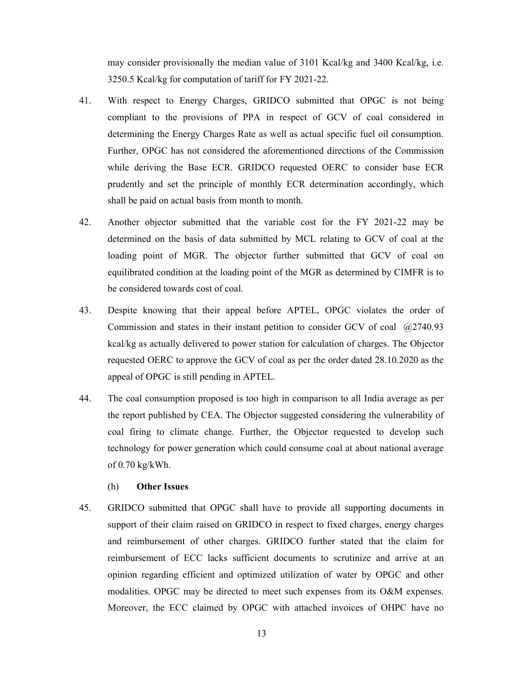may consider provisionally the median value of 3101 Kcal/kg and 3400 Kcal/kg, i.e. 3250.5 Kcal/kg for computation of tariff for FY 2021-22.

- 41. With respect to Energy Charges, GRIDCO submitted that OPGC is not being compliant to the provisions of PPA in respect of GCV of coal considered in determining the Energy Charges Rate as well as actual specific fuel oil consumption. Further, OPGC has not considered the aforementioned directions of the Commission while deriving the Base ECR. GRIDCO requested OERC to consider base ECR prudently and set the principle of monthly ECR determination accordingly, which shall be paid on actual basis from month to month.
- 42. Another objector submitted that the variable cost for the FY 2021-22 may be determined on the basis of data submitted by MCL relating to GCV of coal at the loading point of MGR. The objector further submitted that GCV of coal on equilibrated condition at the loading point of the MGR as determined by CIMFR is to be considered towards cost of coal.
- 43. Despite knowing that their appeal before APTEL, OPGC violates the order of Commission and states in their instant petition to consider GCV of coal @2740.93 kcal/kg as actually delivered to power station for calculation of charges. The Objector requested OERC to approve the GCV of coal as per the order dated 28.10.2020 as the appeal of OPGC is still pending in APTEL.
- 44. The coal consumption proposed is too high in comparison to all India average as per the report published by CEA. The Objector suggested considering the vulnerability of coal firing to climate change. Further, the Objector requested to develop such technology for power generation which could consume coal at about national average of 0.70 kg/kWh.
	- (h) Other Issues
- 45. GRIDCO submitted that OPGC shall have to provide all supporting documents in support of their claim raised on GRIDCO in respect to fixed charges, energy charges and reimbursement of other charges. GRIDCO further stated that the claim for reimbursement of ECC lacks sufficient documents to scrutinize and arrive at an opinion regarding efficient and optimized utilization of water by OPGC and other modalities. OPGC may be directed to meet such expenses from its O&M expenses. Moreover, the ECC claimed by OPGC with attached invoices of OHPC have no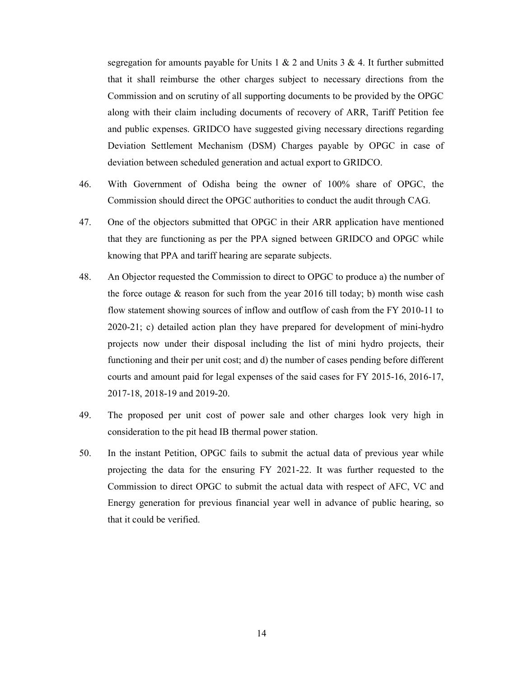segregation for amounts payable for Units 1  $\&$  2 and Units 3  $\&$  4. It further submitted that it shall reimburse the other charges subject to necessary directions from the Commission and on scrutiny of all supporting documents to be provided by the OPGC along with their claim including documents of recovery of ARR, Tariff Petition fee and public expenses. GRIDCO have suggested giving necessary directions regarding Deviation Settlement Mechanism (DSM) Charges payable by OPGC in case of deviation between scheduled generation and actual export to GRIDCO.

- 46. With Government of Odisha being the owner of 100% share of OPGC, the Commission should direct the OPGC authorities to conduct the audit through CAG.
- 47. One of the objectors submitted that OPGC in their ARR application have mentioned that they are functioning as per the PPA signed between GRIDCO and OPGC while knowing that PPA and tariff hearing are separate subjects.
- 48. An Objector requested the Commission to direct to OPGC to produce a) the number of the force outage  $&$  reason for such from the year 2016 till today; b) month wise cash flow statement showing sources of inflow and outflow of cash from the FY 2010-11 to 2020-21; c) detailed action plan they have prepared for development of mini-hydro projects now under their disposal including the list of mini hydro projects, their functioning and their per unit cost; and d) the number of cases pending before different courts and amount paid for legal expenses of the said cases for FY 2015-16, 2016-17, 2017-18, 2018-19 and 2019-20.
- 49. The proposed per unit cost of power sale and other charges look very high in consideration to the pit head IB thermal power station.
- 50. In the instant Petition, OPGC fails to submit the actual data of previous year while projecting the data for the ensuring FY 2021-22. It was further requested to the Commission to direct OPGC to submit the actual data with respect of AFC, VC and Energy generation for previous financial year well in advance of public hearing, so that it could be verified.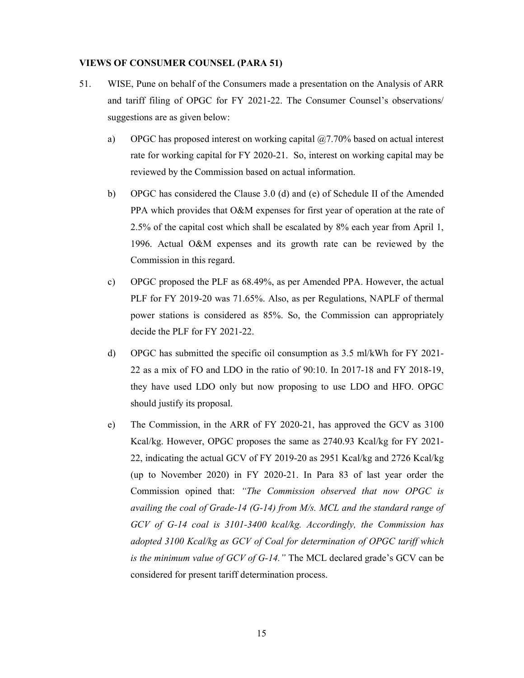## VIEWS OF CONSUMER COUNSEL (PARA 51)

- 51. WISE, Pune on behalf of the Consumers made a presentation on the Analysis of ARR and tariff filing of OPGC for FY 2021-22. The Consumer Counsel's observations/ suggestions are as given below:
	- a) OPGC has proposed interest on working capital  $(27.70\%)$  based on actual interest rate for working capital for FY 2020-21. So, interest on working capital may be reviewed by the Commission based on actual information.
	- b) OPGC has considered the Clause 3.0 (d) and (e) of Schedule II of the Amended PPA which provides that O&M expenses for first year of operation at the rate of 2.5% of the capital cost which shall be escalated by 8% each year from April 1, 1996. Actual O&M expenses and its growth rate can be reviewed by the Commission in this regard.
	- c) OPGC proposed the PLF as 68.49%, as per Amended PPA. However, the actual PLF for FY 2019-20 was 71.65%. Also, as per Regulations, NAPLF of thermal power stations is considered as 85%. So, the Commission can appropriately decide the PLF for FY 2021-22.
	- d) OPGC has submitted the specific oil consumption as 3.5 ml/kWh for FY 2021- 22 as a mix of FO and LDO in the ratio of 90:10. In 2017-18 and FY 2018-19, they have used LDO only but now proposing to use LDO and HFO. OPGC should justify its proposal.
	- e) The Commission, in the ARR of FY 2020-21, has approved the GCV as 3100 Kcal/kg. However, OPGC proposes the same as 2740.93 Kcal/kg for FY 2021- 22, indicating the actual GCV of FY 2019-20 as 2951 Kcal/kg and 2726 Kcal/kg (up to November 2020) in FY 2020-21. In Para 83 of last year order the Commission opined that: "The Commission observed that now OPGC is availing the coal of Grade-14 (G-14) from M/s. MCL and the standard range of GCV of G-14 coal is 3101-3400 kcal/kg. Accordingly, the Commission has adopted 3100 Kcal/kg as GCV of Coal for determination of OPGC tariff which is the minimum value of GCV of G-14." The MCL declared grade's GCV can be considered for present tariff determination process.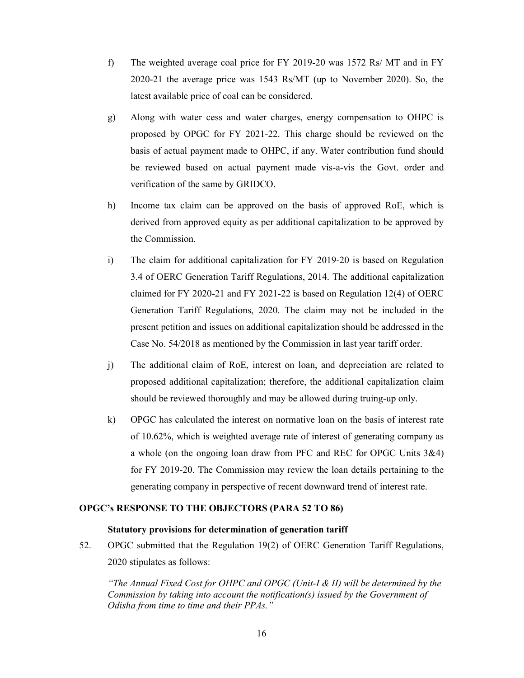- f) The weighted average coal price for FY 2019-20 was 1572 Rs/ MT and in FY 2020-21 the average price was 1543 Rs/MT (up to November 2020). So, the latest available price of coal can be considered.
- g) Along with water cess and water charges, energy compensation to OHPC is proposed by OPGC for FY 2021-22. This charge should be reviewed on the basis of actual payment made to OHPC, if any. Water contribution fund should be reviewed based on actual payment made vis-a-vis the Govt. order and verification of the same by GRIDCO.
- h) Income tax claim can be approved on the basis of approved RoE, which is derived from approved equity as per additional capitalization to be approved by the Commission.
- i) The claim for additional capitalization for FY 2019-20 is based on Regulation 3.4 of OERC Generation Tariff Regulations, 2014. The additional capitalization claimed for FY 2020-21 and FY 2021-22 is based on Regulation 12(4) of OERC Generation Tariff Regulations, 2020. The claim may not be included in the present petition and issues on additional capitalization should be addressed in the Case No. 54/2018 as mentioned by the Commission in last year tariff order.
- j) The additional claim of RoE, interest on loan, and depreciation are related to proposed additional capitalization; therefore, the additional capitalization claim should be reviewed thoroughly and may be allowed during truing-up only.
- k) OPGC has calculated the interest on normative loan on the basis of interest rate of 10.62%, which is weighted average rate of interest of generating company as a whole (on the ongoing loan draw from PFC and REC for OPGC Units 3&4) for FY 2019-20. The Commission may review the loan details pertaining to the generating company in perspective of recent downward trend of interest rate.

# OPGC's RESPONSE TO THE OBJECTORS (PARA 52 TO 86)

# Statutory provisions for determination of generation tariff

52. OPGC submitted that the Regulation 19(2) of OERC Generation Tariff Regulations, 2020 stipulates as follows:

"The Annual Fixed Cost for OHPC and OPGC (Unit-I  $\&$  II) will be determined by the Commission by taking into account the notification(s) issued by the Government of Odisha from time to time and their PPAs."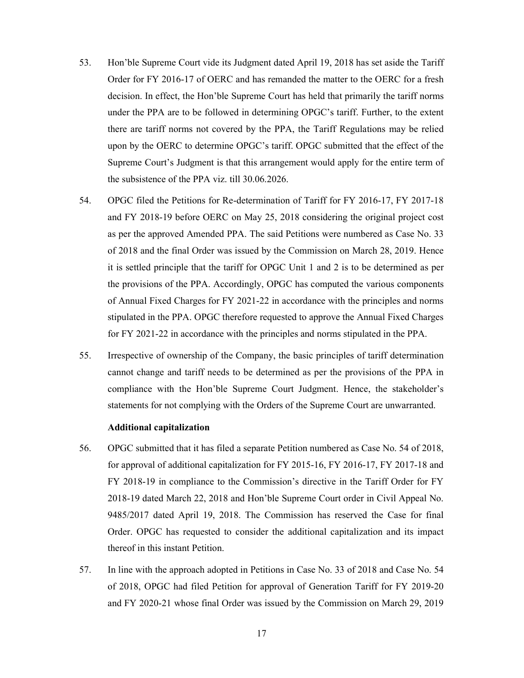- 53. Hon'ble Supreme Court vide its Judgment dated April 19, 2018 has set aside the Tariff Order for FY 2016-17 of OERC and has remanded the matter to the OERC for a fresh decision. In effect, the Hon'ble Supreme Court has held that primarily the tariff norms under the PPA are to be followed in determining OPGC's tariff. Further, to the extent there are tariff norms not covered by the PPA, the Tariff Regulations may be relied upon by the OERC to determine OPGC's tariff. OPGC submitted that the effect of the Supreme Court's Judgment is that this arrangement would apply for the entire term of the subsistence of the PPA viz. till 30.06.2026.
- 54. OPGC filed the Petitions for Re-determination of Tariff for FY 2016-17, FY 2017-18 and FY 2018-19 before OERC on May 25, 2018 considering the original project cost as per the approved Amended PPA. The said Petitions were numbered as Case No. 33 of 2018 and the final Order was issued by the Commission on March 28, 2019. Hence it is settled principle that the tariff for OPGC Unit 1 and 2 is to be determined as per the provisions of the PPA. Accordingly, OPGC has computed the various components of Annual Fixed Charges for FY 2021-22 in accordance with the principles and norms stipulated in the PPA. OPGC therefore requested to approve the Annual Fixed Charges for FY 2021-22 in accordance with the principles and norms stipulated in the PPA.
- 55. Irrespective of ownership of the Company, the basic principles of tariff determination cannot change and tariff needs to be determined as per the provisions of the PPA in compliance with the Hon'ble Supreme Court Judgment. Hence, the stakeholder's statements for not complying with the Orders of the Supreme Court are unwarranted.

#### Additional capitalization

- 56. OPGC submitted that it has filed a separate Petition numbered as Case No. 54 of 2018, for approval of additional capitalization for FY 2015-16, FY 2016-17, FY 2017-18 and FY 2018-19 in compliance to the Commission's directive in the Tariff Order for FY 2018-19 dated March 22, 2018 and Hon'ble Supreme Court order in Civil Appeal No. 9485/2017 dated April 19, 2018. The Commission has reserved the Case for final Order. OPGC has requested to consider the additional capitalization and its impact thereof in this instant Petition.
- 57. In line with the approach adopted in Petitions in Case No. 33 of 2018 and Case No. 54 of 2018, OPGC had filed Petition for approval of Generation Tariff for FY 2019-20 and FY 2020-21 whose final Order was issued by the Commission on March 29, 2019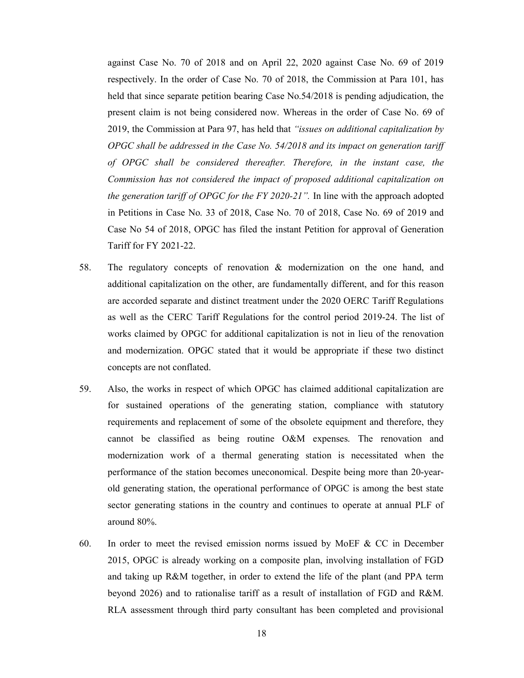against Case No. 70 of 2018 and on April 22, 2020 against Case No. 69 of 2019 respectively. In the order of Case No. 70 of 2018, the Commission at Para 101, has held that since separate petition bearing Case No.54/2018 is pending adjudication, the present claim is not being considered now. Whereas in the order of Case No. 69 of 2019, the Commission at Para 97, has held that "issues on additional capitalization by OPGC shall be addressed in the Case No. 54/2018 and its impact on generation tariff of OPGC shall be considered thereafter. Therefore, in the instant case, the Commission has not considered the impact of proposed additional capitalization on the generation tariff of OPGC for the FY 2020-21". In line with the approach adopted in Petitions in Case No. 33 of 2018, Case No. 70 of 2018, Case No. 69 of 2019 and Case No 54 of 2018, OPGC has filed the instant Petition for approval of Generation Tariff for FY 2021-22.

- 58. The regulatory concepts of renovation & modernization on the one hand, and additional capitalization on the other, are fundamentally different, and for this reason are accorded separate and distinct treatment under the 2020 OERC Tariff Regulations as well as the CERC Tariff Regulations for the control period 2019-24. The list of works claimed by OPGC for additional capitalization is not in lieu of the renovation and modernization. OPGC stated that it would be appropriate if these two distinct concepts are not conflated.
- 59. Also, the works in respect of which OPGC has claimed additional capitalization are for sustained operations of the generating station, compliance with statutory requirements and replacement of some of the obsolete equipment and therefore, they cannot be classified as being routine O&M expenses. The renovation and modernization work of a thermal generating station is necessitated when the performance of the station becomes uneconomical. Despite being more than 20-yearold generating station, the operational performance of OPGC is among the best state sector generating stations in the country and continues to operate at annual PLF of around 80%.
- 60. In order to meet the revised emission norms issued by MoEF & CC in December 2015, OPGC is already working on a composite plan, involving installation of FGD and taking up R&M together, in order to extend the life of the plant (and PPA term beyond 2026) and to rationalise tariff as a result of installation of FGD and R&M. RLA assessment through third party consultant has been completed and provisional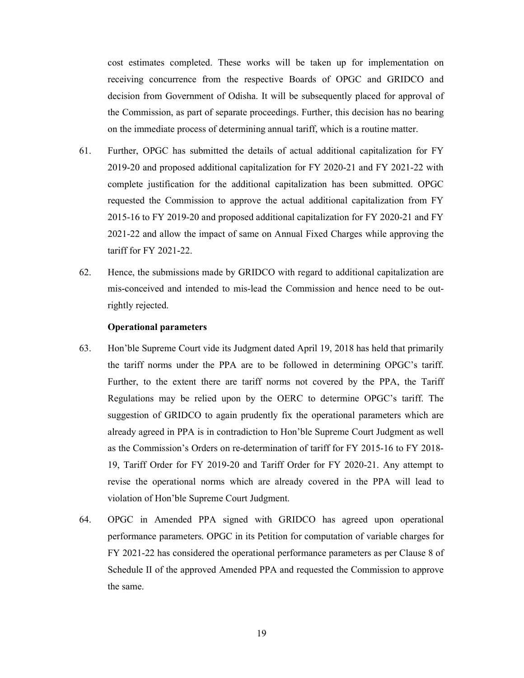cost estimates completed. These works will be taken up for implementation on receiving concurrence from the respective Boards of OPGC and GRIDCO and decision from Government of Odisha. It will be subsequently placed for approval of the Commission, as part of separate proceedings. Further, this decision has no bearing on the immediate process of determining annual tariff, which is a routine matter.

- 61. Further, OPGC has submitted the details of actual additional capitalization for FY 2019-20 and proposed additional capitalization for FY 2020-21 and FY 2021-22 with complete justification for the additional capitalization has been submitted. OPGC requested the Commission to approve the actual additional capitalization from FY 2015-16 to FY 2019-20 and proposed additional capitalization for FY 2020-21 and FY 2021-22 and allow the impact of same on Annual Fixed Charges while approving the tariff for FY 2021-22.
- 62. Hence, the submissions made by GRIDCO with regard to additional capitalization are mis-conceived and intended to mis-lead the Commission and hence need to be outrightly rejected.

#### Operational parameters

- 63. Hon'ble Supreme Court vide its Judgment dated April 19, 2018 has held that primarily the tariff norms under the PPA are to be followed in determining OPGC's tariff. Further, to the extent there are tariff norms not covered by the PPA, the Tariff Regulations may be relied upon by the OERC to determine OPGC's tariff. The suggestion of GRIDCO to again prudently fix the operational parameters which are already agreed in PPA is in contradiction to Hon'ble Supreme Court Judgment as well as the Commission's Orders on re-determination of tariff for FY 2015-16 to FY 2018- 19, Tariff Order for FY 2019-20 and Tariff Order for FY 2020-21. Any attempt to revise the operational norms which are already covered in the PPA will lead to violation of Hon'ble Supreme Court Judgment.
- 64. OPGC in Amended PPA signed with GRIDCO has agreed upon operational performance parameters. OPGC in its Petition for computation of variable charges for FY 2021-22 has considered the operational performance parameters as per Clause 8 of Schedule II of the approved Amended PPA and requested the Commission to approve the same.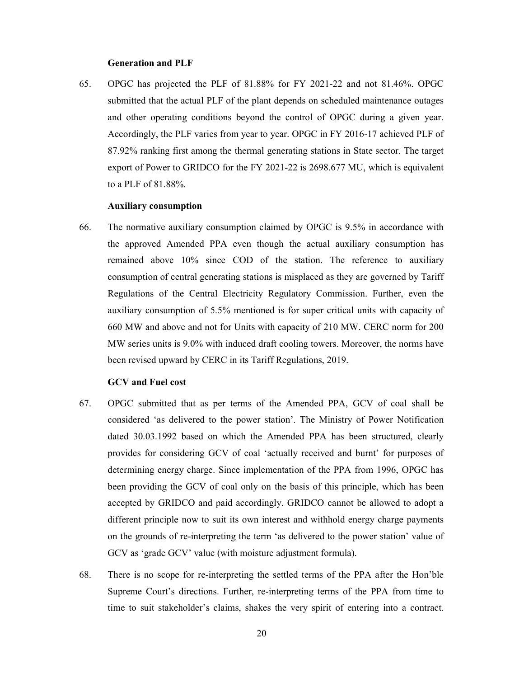#### Generation and PLF

65. OPGC has projected the PLF of 81.88% for FY 2021-22 and not 81.46%. OPGC submitted that the actual PLF of the plant depends on scheduled maintenance outages and other operating conditions beyond the control of OPGC during a given year. Accordingly, the PLF varies from year to year. OPGC in FY 2016-17 achieved PLF of 87.92% ranking first among the thermal generating stations in State sector. The target export of Power to GRIDCO for the FY 2021-22 is 2698.677 MU, which is equivalent to a PLF of 81.88%.

#### Auxiliary consumption

66. The normative auxiliary consumption claimed by OPGC is 9.5% in accordance with the approved Amended PPA even though the actual auxiliary consumption has remained above 10% since COD of the station. The reference to auxiliary consumption of central generating stations is misplaced as they are governed by Tariff Regulations of the Central Electricity Regulatory Commission. Further, even the auxiliary consumption of 5.5% mentioned is for super critical units with capacity of 660 MW and above and not for Units with capacity of 210 MW. CERC norm for 200 MW series units is 9.0% with induced draft cooling towers. Moreover, the norms have been revised upward by CERC in its Tariff Regulations, 2019.

#### GCV and Fuel cost

- 67. OPGC submitted that as per terms of the Amended PPA, GCV of coal shall be considered 'as delivered to the power station'. The Ministry of Power Notification dated 30.03.1992 based on which the Amended PPA has been structured, clearly provides for considering GCV of coal 'actually received and burnt' for purposes of determining energy charge. Since implementation of the PPA from 1996, OPGC has been providing the GCV of coal only on the basis of this principle, which has been accepted by GRIDCO and paid accordingly. GRIDCO cannot be allowed to adopt a different principle now to suit its own interest and withhold energy charge payments on the grounds of re-interpreting the term 'as delivered to the power station' value of GCV as 'grade GCV' value (with moisture adjustment formula).
- 68. There is no scope for re-interpreting the settled terms of the PPA after the Hon'ble Supreme Court's directions. Further, re-interpreting terms of the PPA from time to time to suit stakeholder's claims, shakes the very spirit of entering into a contract.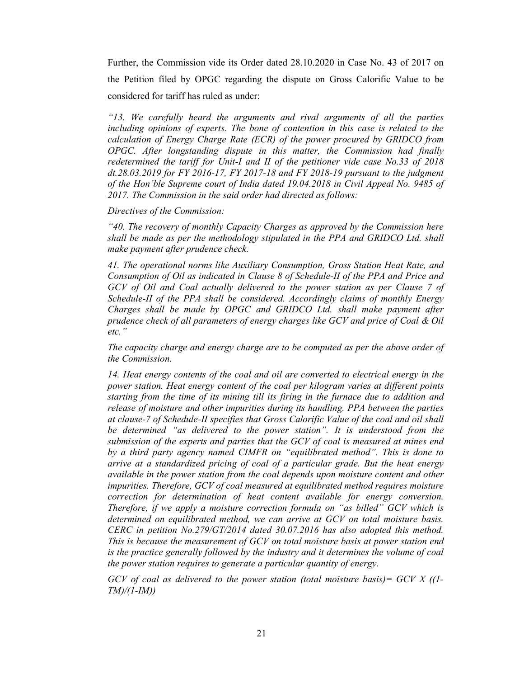Further, the Commission vide its Order dated 28.10.2020 in Case No. 43 of 2017 on the Petition filed by OPGC regarding the dispute on Gross Calorific Value to be considered for tariff has ruled as under:

"13. We carefully heard the arguments and rival arguments of all the parties including opinions of experts. The bone of contention in this case is related to the calculation of Energy Charge Rate (ECR) of the power procured by GRIDCO from OPGC. After longstanding dispute in this matter, the Commission had finally redetermined the tariff for Unit-I and II of the petitioner vide case No.33 of 2018 dt.28.03.2019 for FY 2016-17, FY 2017-18 and FY 2018-19 pursuant to the judgment of the Hon'ble Supreme court of India dated 19.04.2018 in Civil Appeal No. 9485 of 2017. The Commission in the said order had directed as follows:

#### Directives of the Commission:

"40. The recovery of monthly Capacity Charges as approved by the Commission here shall be made as per the methodology stipulated in the PPA and GRIDCO Ltd. shall make payment after prudence check.

41. The operational norms like Auxiliary Consumption, Gross Station Heat Rate, and Consumption of Oil as indicated in Clause 8 of Schedule-II of the PPA and Price and GCV of Oil and Coal actually delivered to the power station as per Clause 7 of Schedule-II of the PPA shall be considered. Accordingly claims of monthly Energy Charges shall be made by OPGC and GRIDCO Ltd. shall make payment after prudence check of all parameters of energy charges like GCV and price of Coal & Oil etc."

The capacity charge and energy charge are to be computed as per the above order of the Commission.

14. Heat energy contents of the coal and oil are converted to electrical energy in the power station. Heat energy content of the coal per kilogram varies at different points starting from the time of its mining till its firing in the furnace due to addition and release of moisture and other impurities during its handling. PPA between the parties at clause-7 of Schedule-II specifies that Gross Calorific Value of the coal and oil shall be determined "as delivered to the power station". It is understood from the submission of the experts and parties that the GCV of coal is measured at mines end by a third party agency named CIMFR on "equilibrated method". This is done to arrive at a standardized pricing of coal of a particular grade. But the heat energy available in the power station from the coal depends upon moisture content and other impurities. Therefore, GCV of coal measured at equilibrated method requires moisture correction for determination of heat content available for energy conversion. Therefore, if we apply a moisture correction formula on "as billed" GCV which is determined on equilibrated method, we can arrive at GCV on total moisture basis. CERC in petition No.279/GT/2014 dated 30.07.2016 has also adopted this method. This is because the measurement of GCV on total moisture basis at power station end is the practice generally followed by the industry and it determines the volume of coal the power station requires to generate a particular quantity of energy.

GCV of coal as delivered to the power station (total moisture basis) =  $GCV X (1 TM)/(1-M)$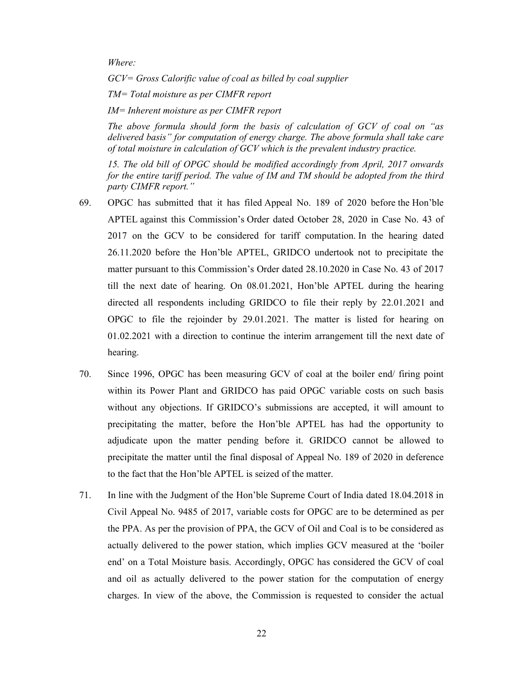Where:

GCV= Gross Calorific value of coal as billed by coal supplier

TM= Total moisture as per CIMFR report

IM= Inherent moisture as per CIMFR report

The above formula should form the basis of calculation of GCV of coal on "as delivered basis" for computation of energy charge. The above formula shall take care of total moisture in calculation of GCV which is the prevalent industry practice.

15. The old bill of OPGC should be modified accordingly from April, 2017 onwards for the entire tariff period. The value of IM and TM should be adopted from the third party CIMFR report."

- 69. OPGC has submitted that it has filed Appeal No. 189 of 2020 before the Hon'ble APTEL against this Commission's Order dated October 28, 2020 in Case No. 43 of 2017 on the GCV to be considered for tariff computation. In the hearing dated 26.11.2020 before the Hon'ble APTEL, GRIDCO undertook not to precipitate the matter pursuant to this Commission's Order dated 28.10.2020 in Case No. 43 of 2017 till the next date of hearing. On 08.01.2021, Hon'ble APTEL during the hearing directed all respondents including GRIDCO to file their reply by 22.01.2021 and OPGC to file the rejoinder by 29.01.2021. The matter is listed for hearing on 01.02.2021 with a direction to continue the interim arrangement till the next date of hearing.
- 70. Since 1996, OPGC has been measuring GCV of coal at the boiler end/ firing point within its Power Plant and GRIDCO has paid OPGC variable costs on such basis without any objections. If GRIDCO's submissions are accepted, it will amount to precipitating the matter, before the Hon'ble APTEL has had the opportunity to adjudicate upon the matter pending before it. GRIDCO cannot be allowed to precipitate the matter until the final disposal of Appeal No. 189 of 2020 in deference to the fact that the Hon'ble APTEL is seized of the matter.
- 71. In line with the Judgment of the Hon'ble Supreme Court of India dated 18.04.2018 in Civil Appeal No. 9485 of 2017, variable costs for OPGC are to be determined as per the PPA. As per the provision of PPA, the GCV of Oil and Coal is to be considered as actually delivered to the power station, which implies GCV measured at the 'boiler end' on a Total Moisture basis. Accordingly, OPGC has considered the GCV of coal and oil as actually delivered to the power station for the computation of energy charges. In view of the above, the Commission is requested to consider the actual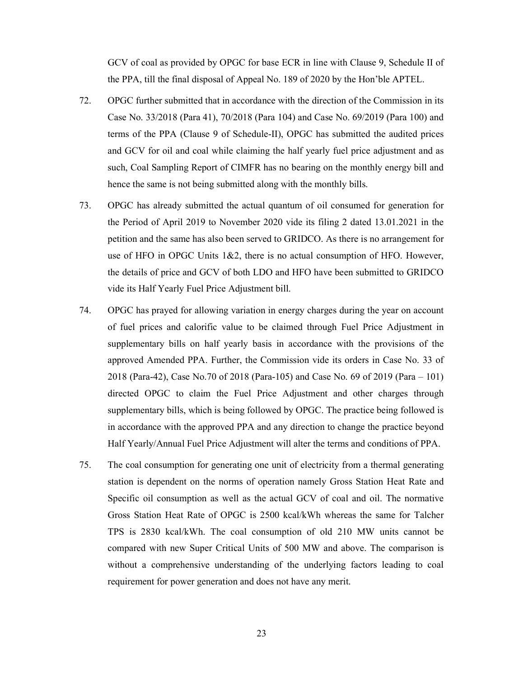GCV of coal as provided by OPGC for base ECR in line with Clause 9, Schedule II of the PPA, till the final disposal of Appeal No. 189 of 2020 by the Hon'ble APTEL.

- 72. OPGC further submitted that in accordance with the direction of the Commission in its Case No. 33/2018 (Para 41), 70/2018 (Para 104) and Case No. 69/2019 (Para 100) and terms of the PPA (Clause 9 of Schedule-II), OPGC has submitted the audited prices and GCV for oil and coal while claiming the half yearly fuel price adjustment and as such, Coal Sampling Report of CIMFR has no bearing on the monthly energy bill and hence the same is not being submitted along with the monthly bills.
- 73. OPGC has already submitted the actual quantum of oil consumed for generation for the Period of April 2019 to November 2020 vide its filing 2 dated 13.01.2021 in the petition and the same has also been served to GRIDCO. As there is no arrangement for use of HFO in OPGC Units 1&2, there is no actual consumption of HFO. However, the details of price and GCV of both LDO and HFO have been submitted to GRIDCO vide its Half Yearly Fuel Price Adjustment bill.
- 74. OPGC has prayed for allowing variation in energy charges during the year on account of fuel prices and calorific value to be claimed through Fuel Price Adjustment in supplementary bills on half yearly basis in accordance with the provisions of the approved Amended PPA. Further, the Commission vide its orders in Case No. 33 of 2018 (Para-42), Case No.70 of 2018 (Para-105) and Case No. 69 of 2019 (Para – 101) directed OPGC to claim the Fuel Price Adjustment and other charges through supplementary bills, which is being followed by OPGC. The practice being followed is in accordance with the approved PPA and any direction to change the practice beyond Half Yearly/Annual Fuel Price Adjustment will alter the terms and conditions of PPA.
- 75. The coal consumption for generating one unit of electricity from a thermal generating station is dependent on the norms of operation namely Gross Station Heat Rate and Specific oil consumption as well as the actual GCV of coal and oil. The normative Gross Station Heat Rate of OPGC is 2500 kcal/kWh whereas the same for Talcher TPS is 2830 kcal/kWh. The coal consumption of old 210 MW units cannot be compared with new Super Critical Units of 500 MW and above. The comparison is without a comprehensive understanding of the underlying factors leading to coal requirement for power generation and does not have any merit.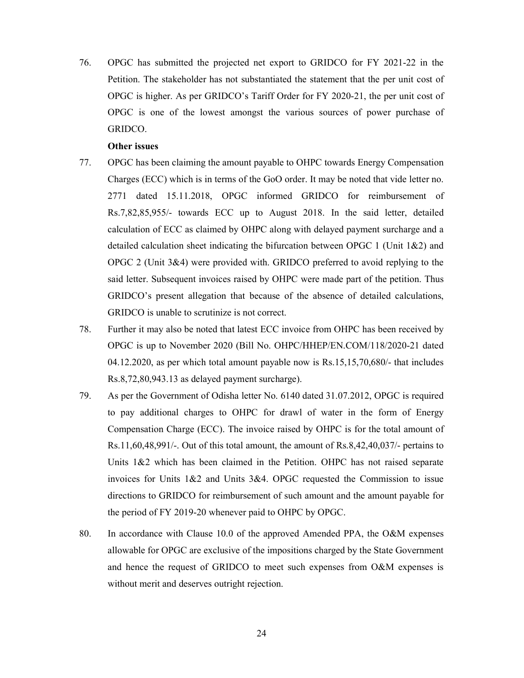76. OPGC has submitted the projected net export to GRIDCO for FY 2021-22 in the Petition. The stakeholder has not substantiated the statement that the per unit cost of OPGC is higher. As per GRIDCO's Tariff Order for FY 2020-21, the per unit cost of OPGC is one of the lowest amongst the various sources of power purchase of GRIDCO.

#### Other issues

- 77. OPGC has been claiming the amount payable to OHPC towards Energy Compensation Charges (ECC) which is in terms of the GoO order. It may be noted that vide letter no. 2771 dated 15.11.2018, OPGC informed GRIDCO for reimbursement of Rs.7,82,85,955/- towards ECC up to August 2018. In the said letter, detailed calculation of ECC as claimed by OHPC along with delayed payment surcharge and a detailed calculation sheet indicating the bifurcation between OPGC 1 (Unit 1&2) and OPGC 2 (Unit 3&4) were provided with. GRIDCO preferred to avoid replying to the said letter. Subsequent invoices raised by OHPC were made part of the petition. Thus GRIDCO's present allegation that because of the absence of detailed calculations, GRIDCO is unable to scrutinize is not correct.
- 78. Further it may also be noted that latest ECC invoice from OHPC has been received by OPGC is up to November 2020 (Bill No. OHPC/HHEP/EN.COM/118/2020-21 dated 04.12.2020, as per which total amount payable now is Rs.15,15,70,680/- that includes Rs.8,72,80,943.13 as delayed payment surcharge).
- 79. As per the Government of Odisha letter No. 6140 dated 31.07.2012, OPGC is required to pay additional charges to OHPC for drawl of water in the form of Energy Compensation Charge (ECC). The invoice raised by OHPC is for the total amount of Rs.11,60,48,991/-. Out of this total amount, the amount of Rs.8,42,40,037/- pertains to Units 1&2 which has been claimed in the Petition. OHPC has not raised separate invoices for Units  $1&2$  and Units  $3&4$ . OPGC requested the Commission to issue directions to GRIDCO for reimbursement of such amount and the amount payable for the period of FY 2019-20 whenever paid to OHPC by OPGC.
- 80. In accordance with Clause 10.0 of the approved Amended PPA, the O&M expenses allowable for OPGC are exclusive of the impositions charged by the State Government and hence the request of GRIDCO to meet such expenses from O&M expenses is without merit and deserves outright rejection.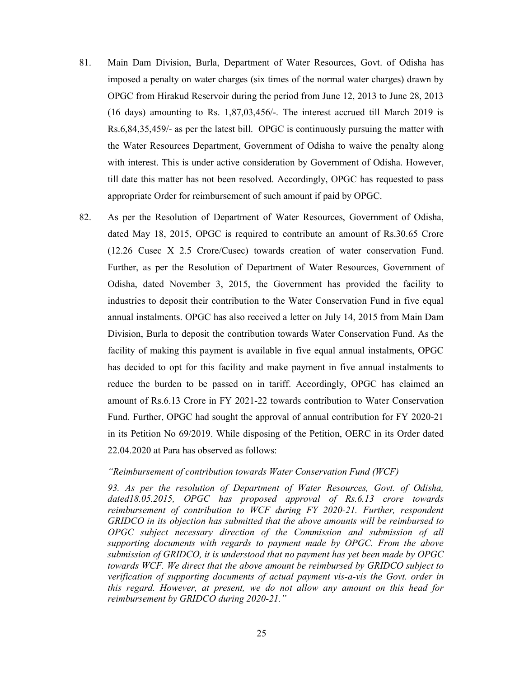- 81. Main Dam Division, Burla, Department of Water Resources, Govt. of Odisha has imposed a penalty on water charges (six times of the normal water charges) drawn by OPGC from Hirakud Reservoir during the period from June 12, 2013 to June 28, 2013 (16 days) amounting to Rs. 1,87,03,456/-. The interest accrued till March 2019 is Rs.6,84,35,459/- as per the latest bill. OPGC is continuously pursuing the matter with the Water Resources Department, Government of Odisha to waive the penalty along with interest. This is under active consideration by Government of Odisha. However, till date this matter has not been resolved. Accordingly, OPGC has requested to pass appropriate Order for reimbursement of such amount if paid by OPGC.
- 82. As per the Resolution of Department of Water Resources, Government of Odisha, dated May 18, 2015, OPGC is required to contribute an amount of Rs.30.65 Crore (12.26 Cusec X 2.5 Crore/Cusec) towards creation of water conservation Fund. Further, as per the Resolution of Department of Water Resources, Government of Odisha, dated November 3, 2015, the Government has provided the facility to industries to deposit their contribution to the Water Conservation Fund in five equal annual instalments. OPGC has also received a letter on July 14, 2015 from Main Dam Division, Burla to deposit the contribution towards Water Conservation Fund. As the facility of making this payment is available in five equal annual instalments, OPGC has decided to opt for this facility and make payment in five annual instalments to reduce the burden to be passed on in tariff. Accordingly, OPGC has claimed an amount of Rs.6.13 Crore in FY 2021-22 towards contribution to Water Conservation Fund. Further, OPGC had sought the approval of annual contribution for FY 2020-21 in its Petition No 69/2019. While disposing of the Petition, OERC in its Order dated 22.04.2020 at Para has observed as follows:

#### "Reimbursement of contribution towards Water Conservation Fund (WCF)

93. As per the resolution of Department of Water Resources, Govt. of Odisha, dated18.05.2015, OPGC has proposed approval of Rs.6.13 crore towards reimbursement of contribution to WCF during FY 2020-21. Further, respondent GRIDCO in its objection has submitted that the above amounts will be reimbursed to OPGC subject necessary direction of the Commission and submission of all supporting documents with regards to payment made by OPGC. From the above submission of GRIDCO, it is understood that no payment has yet been made by OPGC towards WCF. We direct that the above amount be reimbursed by GRIDCO subject to verification of supporting documents of actual payment vis-a-vis the Govt. order in this regard. However, at present, we do not allow any amount on this head for reimbursement by GRIDCO during 2020-21."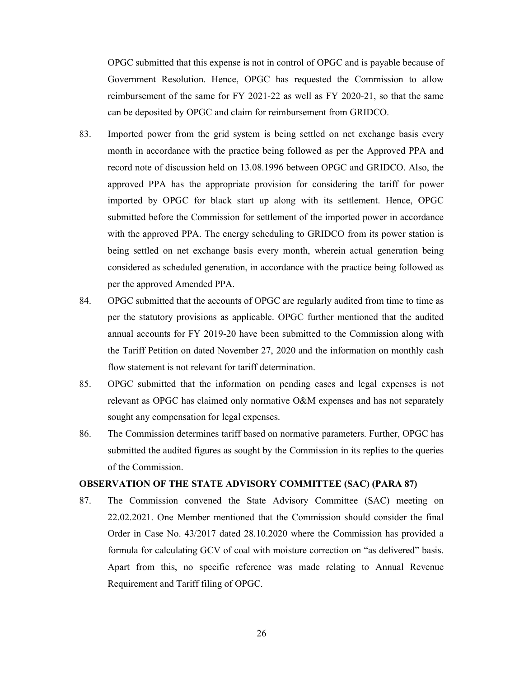OPGC submitted that this expense is not in control of OPGC and is payable because of Government Resolution. Hence, OPGC has requested the Commission to allow reimbursement of the same for FY 2021-22 as well as FY 2020-21, so that the same can be deposited by OPGC and claim for reimbursement from GRIDCO.

- 83. Imported power from the grid system is being settled on net exchange basis every month in accordance with the practice being followed as per the Approved PPA and record note of discussion held on 13.08.1996 between OPGC and GRIDCO. Also, the approved PPA has the appropriate provision for considering the tariff for power imported by OPGC for black start up along with its settlement. Hence, OPGC submitted before the Commission for settlement of the imported power in accordance with the approved PPA. The energy scheduling to GRIDCO from its power station is being settled on net exchange basis every month, wherein actual generation being considered as scheduled generation, in accordance with the practice being followed as per the approved Amended PPA.
- 84. OPGC submitted that the accounts of OPGC are regularly audited from time to time as per the statutory provisions as applicable. OPGC further mentioned that the audited annual accounts for FY 2019-20 have been submitted to the Commission along with the Tariff Petition on dated November 27, 2020 and the information on monthly cash flow statement is not relevant for tariff determination.
- 85. OPGC submitted that the information on pending cases and legal expenses is not relevant as OPGC has claimed only normative O&M expenses and has not separately sought any compensation for legal expenses.
- 86. The Commission determines tariff based on normative parameters. Further, OPGC has submitted the audited figures as sought by the Commission in its replies to the queries of the Commission.

#### OBSERVATION OF THE STATE ADVISORY COMMITTEE (SAC) (PARA 87)

87. The Commission convened the State Advisory Committee (SAC) meeting on 22.02.2021. One Member mentioned that the Commission should consider the final Order in Case No. 43/2017 dated 28.10.2020 where the Commission has provided a formula for calculating GCV of coal with moisture correction on "as delivered" basis. Apart from this, no specific reference was made relating to Annual Revenue Requirement and Tariff filing of OPGC.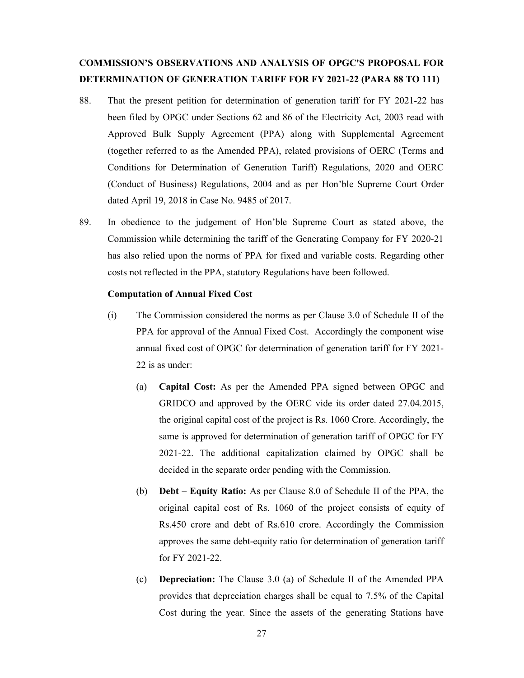# COMMISSION'S OBSERVATIONS AND ANALYSIS OF OPGC'S PROPOSAL FOR DETERMINATION OF GENERATION TARIFF FOR FY 2021-22 (PARA 88 TO 111)

- 88. That the present petition for determination of generation tariff for FY 2021-22 has been filed by OPGC under Sections 62 and 86 of the Electricity Act, 2003 read with Approved Bulk Supply Agreement (PPA) along with Supplemental Agreement (together referred to as the Amended PPA), related provisions of OERC (Terms and Conditions for Determination of Generation Tariff) Regulations, 2020 and OERC (Conduct of Business) Regulations, 2004 and as per Hon'ble Supreme Court Order dated April 19, 2018 in Case No. 9485 of 2017.
- 89. In obedience to the judgement of Hon'ble Supreme Court as stated above, the Commission while determining the tariff of the Generating Company for FY 2020-21 has also relied upon the norms of PPA for fixed and variable costs. Regarding other costs not reflected in the PPA, statutory Regulations have been followed.

### Computation of Annual Fixed Cost

- (i) The Commission considered the norms as per Clause 3.0 of Schedule II of the PPA for approval of the Annual Fixed Cost. Accordingly the component wise annual fixed cost of OPGC for determination of generation tariff for FY 2021- 22 is as under:
	- (a) Capital Cost: As per the Amended PPA signed between OPGC and GRIDCO and approved by the OERC vide its order dated 27.04.2015, the original capital cost of the project is Rs. 1060 Crore. Accordingly, the same is approved for determination of generation tariff of OPGC for FY 2021-22. The additional capitalization claimed by OPGC shall be decided in the separate order pending with the Commission.
	- (b) Debt Equity Ratio: As per Clause 8.0 of Schedule II of the PPA, the original capital cost of Rs. 1060 of the project consists of equity of Rs.450 crore and debt of Rs.610 crore. Accordingly the Commission approves the same debt-equity ratio for determination of generation tariff for FY 2021-22.
	- (c) Depreciation: The Clause 3.0 (a) of Schedule II of the Amended PPA provides that depreciation charges shall be equal to 7.5% of the Capital Cost during the year. Since the assets of the generating Stations have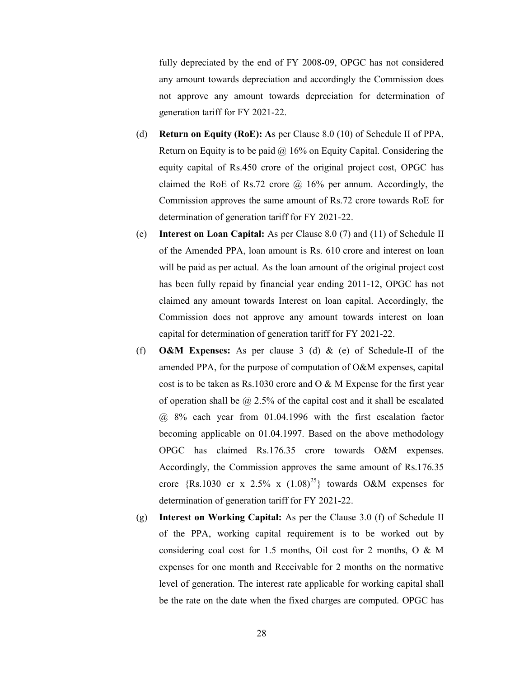fully depreciated by the end of FY 2008-09, OPGC has not considered any amount towards depreciation and accordingly the Commission does not approve any amount towards depreciation for determination of generation tariff for FY 2021-22.

- (d) Return on Equity (RoE): As per Clause 8.0 (10) of Schedule II of PPA, Return on Equity is to be paid  $\omega$  16% on Equity Capital. Considering the equity capital of Rs.450 crore of the original project cost, OPGC has claimed the RoE of Rs.72 crore  $\omega$  16% per annum. Accordingly, the Commission approves the same amount of Rs.72 crore towards RoE for determination of generation tariff for FY 2021-22.
- (e) Interest on Loan Capital: As per Clause 8.0 (7) and (11) of Schedule II of the Amended PPA, loan amount is Rs. 610 crore and interest on loan will be paid as per actual. As the loan amount of the original project cost has been fully repaid by financial year ending 2011-12, OPGC has not claimed any amount towards Interest on loan capital. Accordingly, the Commission does not approve any amount towards interest on loan capital for determination of generation tariff for FY 2021-22.
- (f) O&M Expenses: As per clause 3 (d) & (e) of Schedule-II of the amended PPA, for the purpose of computation of O&M expenses, capital cost is to be taken as Rs.1030 crore and O & M Expense for the first year of operation shall be  $\omega$  2.5% of the capital cost and it shall be escalated @ 8% each year from 01.04.1996 with the first escalation factor becoming applicable on 01.04.1997. Based on the above methodology OPGC has claimed Rs.176.35 crore towards O&M expenses. Accordingly, the Commission approves the same amount of Rs.176.35 crore {Rs.1030 cr x 2.5% x  $(1.08)^{25}$ } towards O&M expenses for determination of generation tariff for FY 2021-22.
- (g) Interest on Working Capital: As per the Clause 3.0 (f) of Schedule II of the PPA, working capital requirement is to be worked out by considering coal cost for 1.5 months, Oil cost for 2 months, O & M expenses for one month and Receivable for 2 months on the normative level of generation. The interest rate applicable for working capital shall be the rate on the date when the fixed charges are computed. OPGC has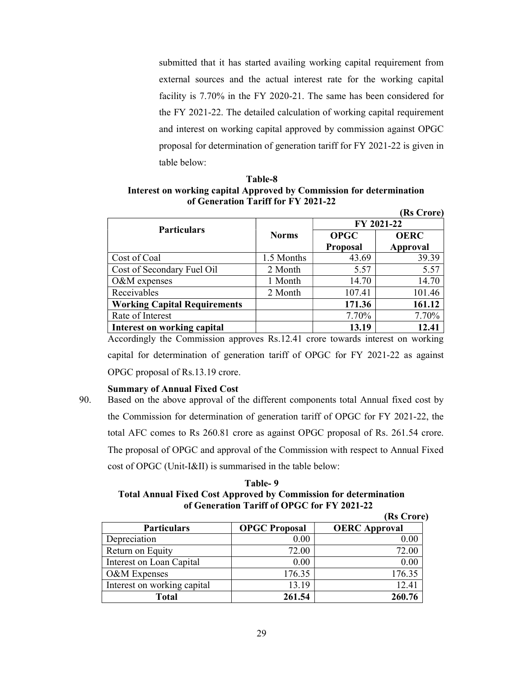submitted that it has started availing working capital requirement from external sources and the actual interest rate for the working capital facility is 7.70% in the FY 2020-21. The same has been considered for the FY 2021-22. The detailed calculation of working capital requirement and interest on working capital approved by commission against OPGC proposal for determination of generation tariff for FY 2021-22 is given in table below:

(Rs Crore)

Table-8 Interest on working capital Approved by Commission for determination of Generation Tariff for FY 2021-22

|                                     |              |                 | <b>IVA CITALE</b> |  |
|-------------------------------------|--------------|-----------------|-------------------|--|
| <b>Particulars</b>                  |              |                 | FY 2021-22        |  |
|                                     | <b>Norms</b> | <b>OPGC</b>     | <b>OERC</b>       |  |
|                                     |              | <b>Proposal</b> | Approval          |  |
| Cost of Coal                        | 1.5 Months   | 43.69           | 39.39             |  |
| Cost of Secondary Fuel Oil          | 2 Month      | 5.57            | 5.57              |  |
| O&M expenses                        | 1 Month      | 14.70           | 14.70             |  |
| Receivables                         | 2 Month      | 107.41          | 101.46            |  |
| <b>Working Capital Requirements</b> |              | 171.36          | 161.12            |  |
| Rate of Interest                    |              | 7.70%           | 7.70%             |  |
| <b>Interest on working capital</b>  |              | 13.19           | 12.41             |  |

Accordingly the Commission approves Rs.12.41 crore towards interest on working capital for determination of generation tariff of OPGC for FY 2021-22 as against OPGC proposal of Rs.13.19 crore.

# Summary of Annual Fixed Cost

90. Based on the above approval of the different components total Annual fixed cost by the Commission for determination of generation tariff of OPGC for FY 2021-22, the total AFC comes to Rs 260.81 crore as against OPGC proposal of Rs. 261.54 crore. The proposal of OPGC and approval of the Commission with respect to Annual Fixed cost of OPGC (Unit-I&II) is summarised in the table below:

# Table- 9 Total Annual Fixed Cost Approved by Commission for determination of Generation Tariff of OPGC for FY 2021-22

|                             |                      | (Rs Crore)           |
|-----------------------------|----------------------|----------------------|
| <b>Particulars</b>          | <b>OPGC Proposal</b> | <b>OERC Approval</b> |
| Depreciation                | 0.00                 | 0.00                 |
| Return on Equity            | 72.00                | 72.00                |
| Interest on Loan Capital    | 0.00                 | 0.00                 |
| O&M Expenses                | 176.35               | 176.35               |
| Interest on working capital | 13.19                | 12.41                |
| <b>Total</b>                | 261.54               | 260.76               |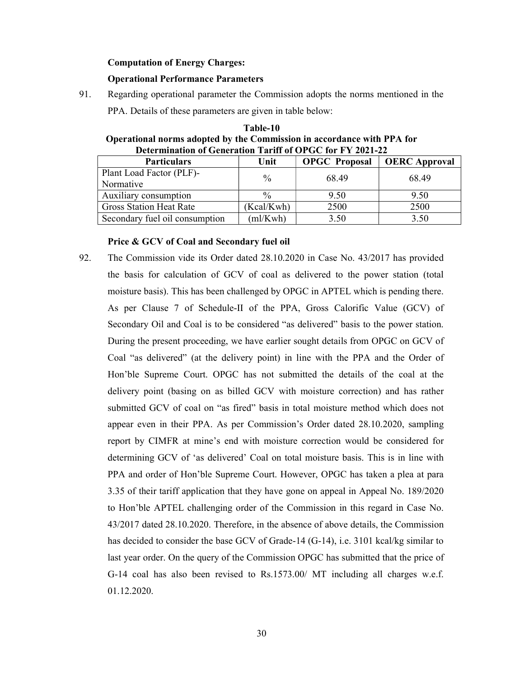#### Computation of Energy Charges:

#### Operational Performance Parameters

91. Regarding operational parameter the Commission adopts the norms mentioned in the

PPA. Details of these parameters are given in table below:

| Table-10                                                               |
|------------------------------------------------------------------------|
| Operational norms adopted by the Commission in accordance with PPA for |
| Determination of Generation Tariff of OPGC for FY 2021-22              |

| <b>Particulars</b>             | Unit          | <b>OPGC</b> Proposal | <b>OERC</b> Approval |  |
|--------------------------------|---------------|----------------------|----------------------|--|
| Plant Load Factor (PLF)-       | $\frac{0}{0}$ | 68.49                | 68.49                |  |
| Normative                      |               |                      |                      |  |
| Auxiliary consumption          | $\frac{0}{0}$ | 9.50                 | 9.50                 |  |
| <b>Gross Station Heat Rate</b> | (Kcal/Kwh)    | 2500                 | 2500                 |  |
| Secondary fuel oil consumption | (ml/Kwh)      | 3.50                 | 3.50                 |  |

#### Price & GCV of Coal and Secondary fuel oil

92. The Commission vide its Order dated 28.10.2020 in Case No. 43/2017 has provided the basis for calculation of GCV of coal as delivered to the power station (total moisture basis). This has been challenged by OPGC in APTEL which is pending there. As per Clause 7 of Schedule-II of the PPA, Gross Calorific Value (GCV) of Secondary Oil and Coal is to be considered "as delivered" basis to the power station. During the present proceeding, we have earlier sought details from OPGC on GCV of Coal "as delivered" (at the delivery point) in line with the PPA and the Order of Hon'ble Supreme Court. OPGC has not submitted the details of the coal at the delivery point (basing on as billed GCV with moisture correction) and has rather submitted GCV of coal on "as fired" basis in total moisture method which does not appear even in their PPA. As per Commission's Order dated 28.10.2020, sampling report by CIMFR at mine's end with moisture correction would be considered for determining GCV of 'as delivered' Coal on total moisture basis. This is in line with PPA and order of Hon'ble Supreme Court. However, OPGC has taken a plea at para 3.35 of their tariff application that they have gone on appeal in Appeal No. 189/2020 to Hon'ble APTEL challenging order of the Commission in this regard in Case No. 43/2017 dated 28.10.2020. Therefore, in the absence of above details, the Commission has decided to consider the base GCV of Grade-14 (G-14), i.e. 3101 kcal/kg similar to last year order. On the query of the Commission OPGC has submitted that the price of G-14 coal has also been revised to Rs.1573.00/ MT including all charges w.e.f. 01.12.2020.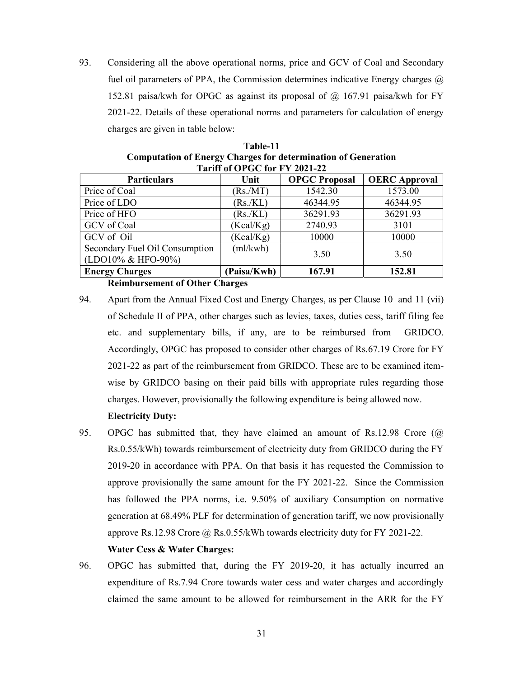93. Considering all the above operational norms, price and GCV of Coal and Secondary fuel oil parameters of PPA, the Commission determines indicative Energy charges  $\omega$ 152.81 paisa/kwh for OPGC as against its proposal of @ 167.91 paisa/kwh for FY 2021-22. Details of these operational norms and parameters for calculation of energy charges are given in table below:

| Computation of Energy Charges for actermination of Generation                  |             |                      |                      |  |  |
|--------------------------------------------------------------------------------|-------------|----------------------|----------------------|--|--|
| Tariff of OPGC for FY 2021-22                                                  |             |                      |                      |  |  |
| <b>Particulars</b>                                                             | Unit        | <b>OPGC Proposal</b> | <b>OERC</b> Approval |  |  |
| Price of Coal                                                                  | (Rs/MT)     | 1542.30              | 1573.00              |  |  |
| Price of LDO                                                                   | (Rs./KL)    | 46344.95             | 46344.95             |  |  |
| Price of HFO                                                                   | (Rs/KL)     | 36291.93             | 36291.93             |  |  |
| GCV of Coal                                                                    | (Kcal/Kg)   | 2740.93              | 3101                 |  |  |
| GCV of Oil                                                                     | (Kcal/Kg)   | 10000                | 10000                |  |  |
| Secondary Fuel Oil Consumption                                                 | (ml/kwh)    | 3.50                 | 3.50                 |  |  |
| (LDO10% & HFO-90%)                                                             |             |                      |                      |  |  |
| <b>Energy Charges</b>                                                          | (Paisa/Kwh) | 167.91               | 152.81               |  |  |
| $D_{\text{a}}$ in know and $\alpha$ $\Omega$ $\Omega$ is $\Omega$ and $\Omega$ |             |                      |                      |  |  |

| Table-11                                                             |  |  |  |
|----------------------------------------------------------------------|--|--|--|
| <b>Computation of Energy Charges for determination of Generation</b> |  |  |  |
| Tariff of OPGC for FY 2021-22                                        |  |  |  |

Reimbursement of Other Charges

- 94. Apart from the Annual Fixed Cost and Energy Charges, as per Clause 10 and 11 (vii) of Schedule II of PPA, other charges such as levies, taxes, duties cess, tariff filing fee etc. and supplementary bills, if any, are to be reimbursed from GRIDCO. Accordingly, OPGC has proposed to consider other charges of Rs.67.19 Crore for FY 2021-22 as part of the reimbursement from GRIDCO. These are to be examined itemwise by GRIDCO basing on their paid bills with appropriate rules regarding those charges. However, provisionally the following expenditure is being allowed now.
	- Electricity Duty:
- 95. OPGC has submitted that, they have claimed an amount of Rs.12.98 Crore (@ Rs.0.55/kWh) towards reimbursement of electricity duty from GRIDCO during the FY 2019-20 in accordance with PPA. On that basis it has requested the Commission to approve provisionally the same amount for the FY 2021-22. Since the Commission has followed the PPA norms, i.e. 9.50% of auxiliary Consumption on normative generation at 68.49% PLF for determination of generation tariff, we now provisionally approve Rs.12.98 Crore  $\omega$  Rs.0.55/kWh towards electricity duty for FY 2021-22.

#### Water Cess & Water Charges:

96. OPGC has submitted that, during the FY 2019-20, it has actually incurred an expenditure of Rs.7.94 Crore towards water cess and water charges and accordingly claimed the same amount to be allowed for reimbursement in the ARR for the FY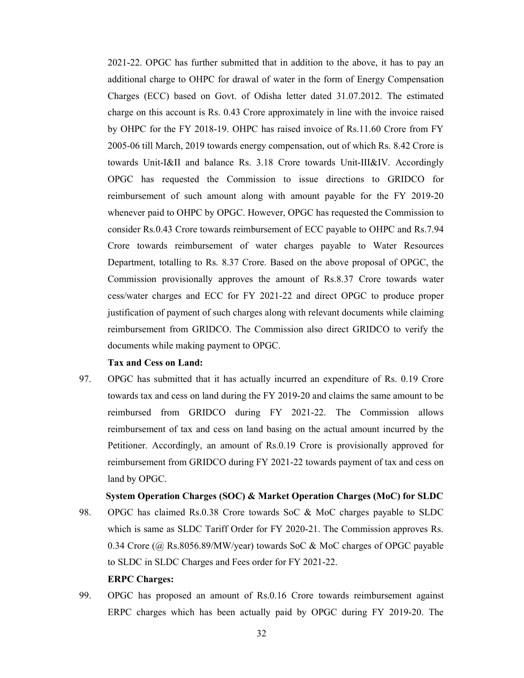2021-22. OPGC has further submitted that in addition to the above, it has to pay an additional charge to OHPC for drawal of water in the form of Energy Compensation Charges (ECC) based on Govt. of Odisha letter dated 31.07.2012. The estimated charge on this account is Rs. 0.43 Crore approximately in line with the invoice raised by OHPC for the FY 2018-19. OHPC has raised invoice of Rs.11.60 Crore from FY 2005-06 till March, 2019 towards energy compensation, out of which Rs. 8.42 Crore is towards Unit-I&II and balance Rs. 3.18 Crore towards Unit-III&IV. Accordingly OPGC has requested the Commission to issue directions to GRIDCO for reimbursement of such amount along with amount payable for the FY 2019-20 whenever paid to OHPC by OPGC. However, OPGC has requested the Commission to consider Rs.0.43 Crore towards reimbursement of ECC payable to OHPC and Rs.7.94 Crore towards reimbursement of water charges payable to Water Resources Department, totalling to Rs. 8.37 Crore. Based on the above proposal of OPGC, the Commission provisionally approves the amount of Rs.8.37 Crore towards water cess/water charges and ECC for FY 2021-22 and direct OPGC to produce proper justification of payment of such charges along with relevant documents while claiming reimbursement from GRIDCO. The Commission also direct GRIDCO to verify the documents while making payment to OPGC.

# Tax and Cess on Land:

97. OPGC has submitted that it has actually incurred an expenditure of Rs. 0.19 Crore towards tax and cess on land during the FY 2019-20 and claims the same amount to be reimbursed from GRIDCO during FY 2021-22. The Commission allows reimbursement of tax and cess on land basing on the actual amount incurred by the Petitioner. Accordingly, an amount of Rs.0.19 Crore is provisionally approved for reimbursement from GRIDCO during FY 2021-22 towards payment of tax and cess on land by OPGC.

# System Operation Charges (SOC) & Market Operation Charges (MoC) for SLDC

- 98. OPGC has claimed Rs.0.38 Crore towards SoC & MoC charges payable to SLDC which is same as SLDC Tariff Order for FY 2020-21. The Commission approves Rs. 0.34 Crore (@ Rs.8056.89/MW/year) towards SoC & MoC charges of OPGC payable to SLDC in SLDC Charges and Fees order for FY 2021-22. ERPC Charges:
- 99. OPGC has proposed an amount of Rs.0.16 Crore towards reimbursement against ERPC charges which has been actually paid by OPGC during FY 2019-20. The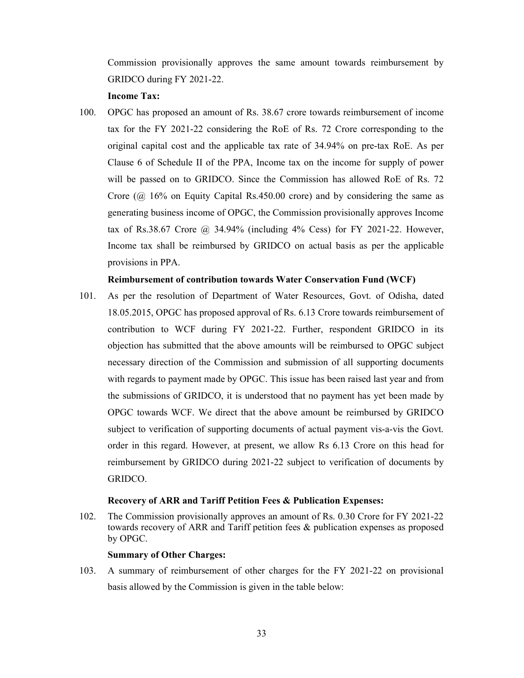Commission provisionally approves the same amount towards reimbursement by GRIDCO during FY 2021-22.

## Income Tax:

100. OPGC has proposed an amount of Rs. 38.67 crore towards reimbursement of income tax for the FY 2021-22 considering the RoE of Rs. 72 Crore corresponding to the original capital cost and the applicable tax rate of 34.94% on pre-tax RoE. As per Clause 6 of Schedule II of the PPA, Income tax on the income for supply of power will be passed on to GRIDCO. Since the Commission has allowed RoE of Rs. 72 Crore (@ 16% on Equity Capital Rs.450.00 crore) and by considering the same as generating business income of OPGC, the Commission provisionally approves Income tax of Rs.38.67 Crore @ 34.94% (including 4% Cess) for FY 2021-22. However, Income tax shall be reimbursed by GRIDCO on actual basis as per the applicable provisions in PPA.

### Reimbursement of contribution towards Water Conservation Fund (WCF)

101. As per the resolution of Department of Water Resources, Govt. of Odisha, dated 18.05.2015, OPGC has proposed approval of Rs. 6.13 Crore towards reimbursement of contribution to WCF during FY 2021-22. Further, respondent GRIDCO in its objection has submitted that the above amounts will be reimbursed to OPGC subject necessary direction of the Commission and submission of all supporting documents with regards to payment made by OPGC. This issue has been raised last year and from the submissions of GRIDCO, it is understood that no payment has yet been made by OPGC towards WCF. We direct that the above amount be reimbursed by GRIDCO subject to verification of supporting documents of actual payment vis-a-vis the Govt. order in this regard. However, at present, we allow Rs 6.13 Crore on this head for reimbursement by GRIDCO during 2021-22 subject to verification of documents by GRIDCO.

#### Recovery of ARR and Tariff Petition Fees & Publication Expenses:

102. The Commission provisionally approves an amount of Rs. 0.30 Crore for FY 2021-22 towards recovery of ARR and Tariff petition fees & publication expenses as proposed by OPGC.

#### Summary of Other Charges:

103. A summary of reimbursement of other charges for the FY 2021-22 on provisional basis allowed by the Commission is given in the table below: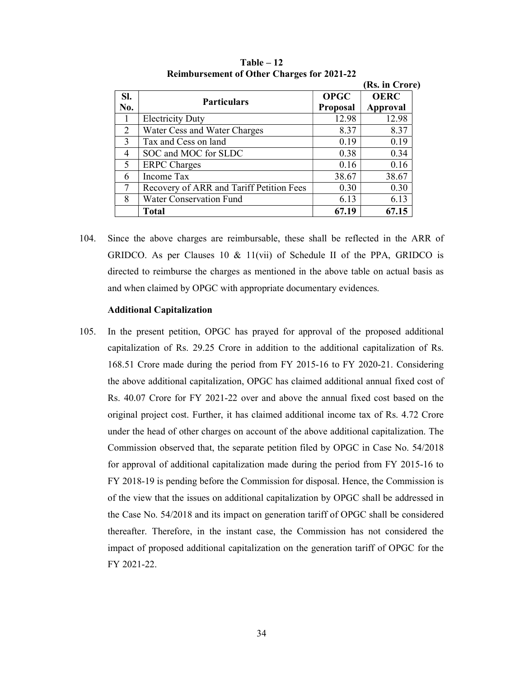|              |                                          |                 | (Rs. in Crore) |
|--------------|------------------------------------------|-----------------|----------------|
| SI.          | <b>Particulars</b>                       | <b>OPGC</b>     | <b>OERC</b>    |
| No.          |                                          | <b>Proposal</b> | Approval       |
|              | <b>Electricity Duty</b>                  | 12.98           | 12.98          |
| 2            | Water Cess and Water Charges             | 8.37            | 8.37           |
| $\mathbf{3}$ | Tax and Cess on land                     | 0.19            | 0.19           |
| 4            | SOC and MOC for SLDC                     | 0.38            | 0.34           |
| 5            | <b>ERPC</b> Charges                      | 0.16            | 0.16           |
| 6            | Income Tax                               | 38.67           | 38.67          |
| 7            | Recovery of ARR and Tariff Petition Fees | 0.30            | 0.30           |
| 8            | <b>Water Conservation Fund</b>           | 6.13            | 6.13           |
|              | Total                                    | 67.19           | 67.15          |

Table – 12 Reimbursement of Other Charges for 2021-22

104. Since the above charges are reimbursable, these shall be reflected in the ARR of GRIDCO. As per Clauses 10 & 11(vii) of Schedule II of the PPA, GRIDCO is directed to reimburse the charges as mentioned in the above table on actual basis as and when claimed by OPGC with appropriate documentary evidences.

# Additional Capitalization

105. In the present petition, OPGC has prayed for approval of the proposed additional capitalization of Rs. 29.25 Crore in addition to the additional capitalization of Rs. 168.51 Crore made during the period from FY 2015-16 to FY 2020-21. Considering the above additional capitalization, OPGC has claimed additional annual fixed cost of Rs. 40.07 Crore for FY 2021-22 over and above the annual fixed cost based on the original project cost. Further, it has claimed additional income tax of Rs. 4.72 Crore under the head of other charges on account of the above additional capitalization. The Commission observed that, the separate petition filed by OPGC in Case No. 54/2018 for approval of additional capitalization made during the period from FY 2015-16 to FY 2018-19 is pending before the Commission for disposal. Hence, the Commission is of the view that the issues on additional capitalization by OPGC shall be addressed in the Case No. 54/2018 and its impact on generation tariff of OPGC shall be considered thereafter. Therefore, in the instant case, the Commission has not considered the impact of proposed additional capitalization on the generation tariff of OPGC for the FY 2021-22.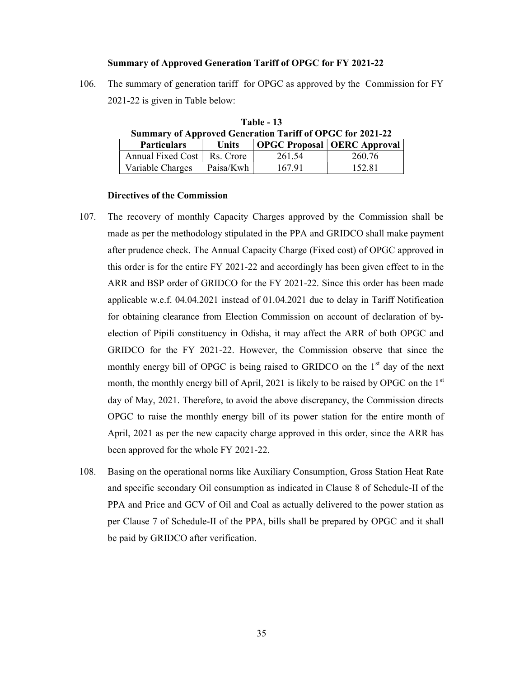#### Summary of Approved Generation Tariff of OPGC for FY 2021-22

106. The summary of generation tariff for OPGC as approved by the Commission for FY 2021-22 is given in Table below:

Table - 13

| <b>Summary of Approved Generation Tariff of OPGC for 2021-22</b> |              |        |                               |  |  |
|------------------------------------------------------------------|--------------|--------|-------------------------------|--|--|
| <b>Particulars</b>                                               | <b>Units</b> |        | OPGC Proposal   OERC Approval |  |  |
| Annual Fixed Cost                                                | Rs. Crore    | 261.54 | 260.76                        |  |  |
| Variable Charges                                                 | Paisa/Kwh    | 167.91 | 152.81                        |  |  |

# Directives of the Commission

- 107. The recovery of monthly Capacity Charges approved by the Commission shall be made as per the methodology stipulated in the PPA and GRIDCO shall make payment after prudence check. The Annual Capacity Charge (Fixed cost) of OPGC approved in this order is for the entire FY 2021-22 and accordingly has been given effect to in the ARR and BSP order of GRIDCO for the FY 2021-22. Since this order has been made applicable w.e.f. 04.04.2021 instead of 01.04.2021 due to delay in Tariff Notification for obtaining clearance from Election Commission on account of declaration of byelection of Pipili constituency in Odisha, it may affect the ARR of both OPGC and GRIDCO for the FY 2021-22. However, the Commission observe that since the monthly energy bill of OPGC is being raised to GRIDCO on the  $1<sup>st</sup>$  day of the next month, the monthly energy bill of April, 2021 is likely to be raised by OPGC on the 1<sup>st</sup> day of May, 2021. Therefore, to avoid the above discrepancy, the Commission directs OPGC to raise the monthly energy bill of its power station for the entire month of April, 2021 as per the new capacity charge approved in this order, since the ARR has been approved for the whole FY 2021-22.
- 108. Basing on the operational norms like Auxiliary Consumption, Gross Station Heat Rate and specific secondary Oil consumption as indicated in Clause 8 of Schedule-II of the PPA and Price and GCV of Oil and Coal as actually delivered to the power station as per Clause 7 of Schedule-II of the PPA, bills shall be prepared by OPGC and it shall be paid by GRIDCO after verification.